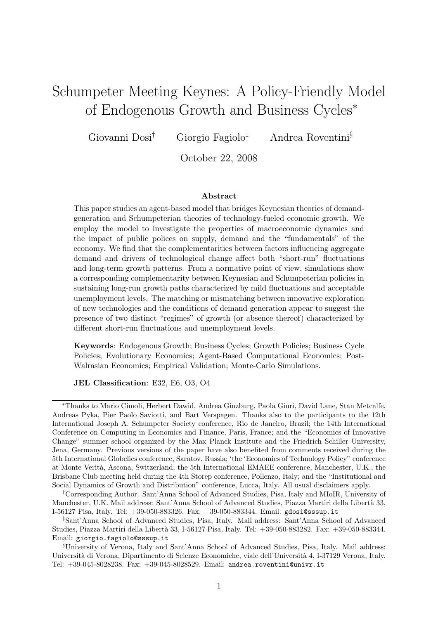## Schumpeter Meeting Keynes: A Policy-Friendly Model of Endogenous Growth and Business Cycles<sup>∗</sup>

Giovanni Dosi† Giorgio Fagiolo‡ Andrea Roventini§

October 22, 2008

#### Abstract

This paper studies an agent-based model that bridges Keynesian theories of demandgeneration and Schumpeterian theories of technology-fueled economic growth. We employ the model to investigate the properties of macroeconomic dynamics and the impact of public polices on supply, demand and the "fundamentals" of the economy. We find that the complementarities between factors influencing aggregate demand and drivers of technological change affect both "short-run" fluctuations and long-term growth patterns. From a normative point of view, simulations show a corresponding complementarity between Keynesian and Schumpeterian policies in sustaining long-run growth paths characterized by mild fluctuations and acceptable unemployment levels. The matching or mismatching between innovative exploration of new technologies and the conditions of demand generation appear to suggest the presence of two distinct "regimes" of growth (or absence thereof) characterized by different short-run fluctuations and unemployment levels.

Keywords: Endogenous Growth; Business Cycles; Growth Policies; Business Cycle Policies; Evolutionary Economics; Agent-Based Computational Economics; Post-Walrasian Economics; Empirical Validation; Monte-Carlo Simulations.

JEL Classification: E32, E6, O3, O4

†Corresponding Author. Sant'Anna School of Advanced Studies, Pisa, Italy and MIoIR, University of Manchester, U.K. Mail address: Sant'Anna School of Advanced Studies, Piazza Martiri della Libert`a 33, I-56127 Pisa, Italy. Tel: +39-050-883326. Fax: +39-050-883344. Email: gdosi@sssup.it

<sup>∗</sup>Thanks to Mario Cimoli, Herbert Dawid, Andrea Ginzburg, Paola Giuri, David Lane, Stan Metcalfe, Andreas Pyka, Pier Paolo Saviotti, and Bart Verspagen. Thanks also to the participants to the 12th International Joseph A. Schumpeter Society conference, Rio de Janeiro, Brazil; the 14th International Conference on Computing in Economics and Finance, Paris, France; and the "Economics of Innovative Change" summer school organized by the Max Planck Institute and the Friedrich Schiller University, Jena, Germany. Previous versions of the paper have also benefited from comments received during the 5th International Globelics conference, Saratov, Russia; 'the 'Economics of Technology Policy" conference at Monte Verità, Ascona, Switzerland; the 5th International EMAEE conference, Manchester, U.K.; the Brisbane Club meeting held during the 4th Storep conference, Pollenzo, Italy; and the "Institutional and Social Dynamics of Growth and Distribution" conference, Lucca, Italy. All usual disclaimers apply.

<sup>‡</sup>Sant'Anna School of Advanced Studies, Pisa, Italy. Mail address: Sant'Anna School of Advanced Studies, Piazza Martiri della Libert`a 33, I-56127 Pisa, Italy. Tel: +39-050-883282. Fax: +39-050-883344. Email: giorgio.fagiolo@sssup.it

<sup>§</sup>University of Verona, Italy and Sant'Anna School of Advanced Studies, Pisa, Italy. Mail address: Universit`a di Verona, Dipartimento di Scienze Economiche, viale dell'Universit`a 4, I-37129 Verona, Italy. Tel: +39-045-8028238. Fax: +39-045-8028529. Email: andrea.roventini@univr.it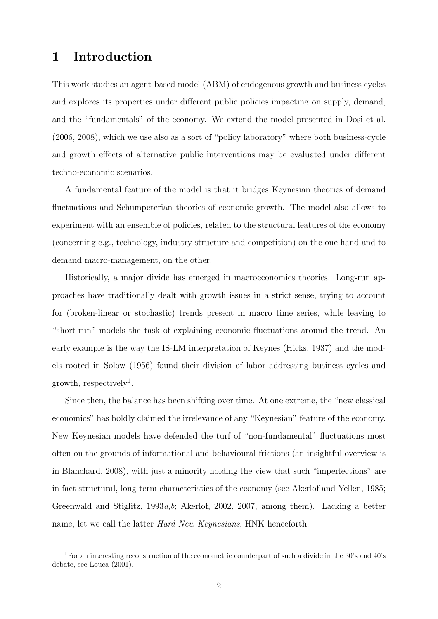## 1 Introduction

This work studies an agent-based model (ABM) of endogenous growth and business cycles and explores its properties under different public policies impacting on supply, demand, and the "fundamentals" of the economy. We extend the model presented in Dosi et al. (2006, 2008), which we use also as a sort of "policy laboratory" where both business-cycle and growth effects of alternative public interventions may be evaluated under different techno-economic scenarios.

A fundamental feature of the model is that it bridges Keynesian theories of demand fluctuations and Schumpeterian theories of economic growth. The model also allows to experiment with an ensemble of policies, related to the structural features of the economy (concerning e.g., technology, industry structure and competition) on the one hand and to demand macro-management, on the other.

Historically, a major divide has emerged in macroeconomics theories. Long-run approaches have traditionally dealt with growth issues in a strict sense, trying to account for (broken-linear or stochastic) trends present in macro time series, while leaving to "short-run" models the task of explaining economic fluctuations around the trend. An early example is the way the IS-LM interpretation of Keynes (Hicks, 1937) and the models rooted in Solow (1956) found their division of labor addressing business cycles and growth, respectively<sup>1</sup>.

Since then, the balance has been shifting over time. At one extreme, the "new classical economics" has boldly claimed the irrelevance of any "Keynesian" feature of the economy. New Keynesian models have defended the turf of "non-fundamental" fluctuations most often on the grounds of informational and behavioural frictions (an insightful overview is in Blanchard, 2008), with just a minority holding the view that such "imperfections" are in fact structural, long-term characteristics of the economy (see Akerlof and Yellen, 1985; Greenwald and Stiglitz, 1993a,b; Akerlof, 2002, 2007, among them). Lacking a better name, let we call the latter Hard New Keynesians, HNK henceforth.

<sup>1</sup>For an interesting reconstruction of the econometric counterpart of such a divide in the 30's and 40's debate, see Louca (2001).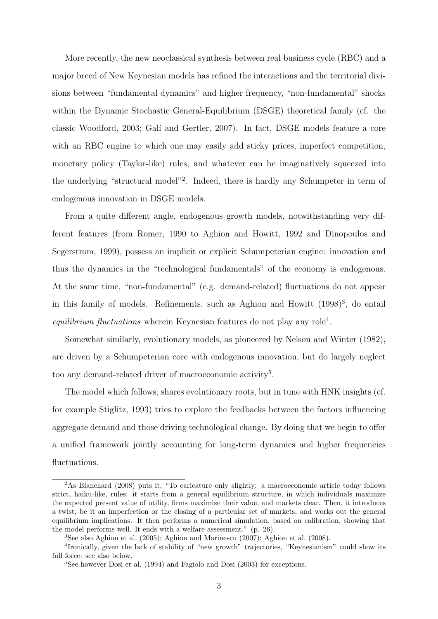More recently, the new neoclassical synthesis between real business cycle (RBC) and a major breed of New Keynesian models has refined the interactions and the territorial divisions between "fundamental dynamics" and higher frequency, "non-fundamental" shocks within the Dynamic Stochastic General-Equilibrium (DSGE) theoretical family (cf. the classic Woodford, 2003; Gal´ı and Gertler, 2007). In fact, DSGE models feature a core with an RBC engine to which one may easily add sticky prices, imperfect competition, monetary policy (Taylor-like) rules, and whatever can be imaginatively squeezed into the underlying "structural model"<sup>2</sup> . Indeed, there is hardly any Schumpeter in term of endogenous innovation in DSGE models.

From a quite different angle, endogenous growth models, notwithstanding very different features (from Romer, 1990 to Aghion and Howitt, 1992 and Dinopoulos and Segerstrom, 1999), possess an implicit or explicit Schumpeterian engine: innovation and thus the dynamics in the "technological fundamentals" of the economy is endogenous. At the same time, "non-fundamental" (e.g. demand-related) fluctuations do not appear in this family of models. Refinements, such as Aghion and Howitt  $(1998)^3$ , do entail equilibrium fluctuations wherein Keynesian features do not play any role<sup>4</sup>.

Somewhat similarly, evolutionary models, as pioneered by Nelson and Winter (1982), are driven by a Schumpeterian core with endogenous innovation, but do largely neglect too any demand-related driver of macroeconomic activity<sup>5</sup>.

The model which follows, shares evolutionary roots, but in tune with HNK insights (cf. for example Stiglitz, 1993) tries to explore the feedbacks between the factors influencing aggregate demand and those driving technological change. By doing that we begin to offer a unified framework jointly accounting for long-term dynamics and higher frequencies fluctuations.

<sup>2</sup>As Blanchard (2008) puts it, "To caricature only slightly: a macroeconomic article today follows strict, haiku-like, rules: it starts from a general equilibrium structure, in which individuals maximize the expected present value of utility, firms maximize their value, and markets clear. Then, it introduces a twist, be it an imperfection or the closing of a particular set of markets, and works out the general equilibrium implications. It then performs a numerical simulation, based on calibration, showing that the model performs well. It ends with a welfare assessment." (p. 26).

<sup>3</sup>See also Aghion et al. (2005); Aghion and Marinescu (2007); Aghion et al. (2008).

<sup>4</sup> Ironically, given the lack of stability of "new growth" trajectories, "Keynesianism" could show its full force: see also below.

<sup>5</sup>See however Dosi et al. (1994) and Fagiolo and Dosi (2003) for exceptions.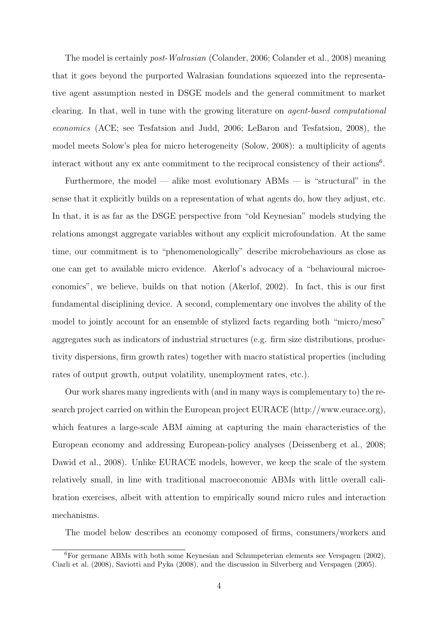The model is certainly post-Walrasian (Colander, 2006; Colander et al., 2008) meaning that it goes beyond the purported Walrasian foundations squeezed into the representative agent assumption nested in DSGE models and the general commitment to market clearing. In that, well in tune with the growing literature on agent-based computational economics (ACE; see Tesfatsion and Judd, 2006; LeBaron and Tesfatsion, 2008), the model meets Solow's plea for micro heterogeneity (Solow, 2008): a multiplicity of agents interact without any ex ante commitment to the reciprocal consistency of their actions<sup>6</sup>.

Furthermore, the model — alike most evolutionary ABMs — is "structural" in the sense that it explicitly builds on a representation of what agents do, how they adjust, etc. In that, it is as far as the DSGE perspective from "old Keynesian" models studying the relations amongst aggregate variables without any explicit microfoundation. At the same time, our commitment is to "phenomenologically" describe microbehaviours as close as one can get to available micro evidence. Akerlof's advocacy of a "behavioural microeconomics", we believe, builds on that notion (Akerlof, 2002). In fact, this is our first fundamental disciplining device. A second, complementary one involves the ability of the model to jointly account for an ensemble of stylized facts regarding both "micro/meso" aggregates such as indicators of industrial structures (e.g. firm size distributions, productivity dispersions, firm growth rates) together with macro statistical properties (including rates of output growth, output volatility, unemployment rates, etc.).

Our work shares many ingredients with (and in many ways is complementary to) the research project carried on within the European project EURACE (http://www.eurace.org), which features a large-scale ABM aiming at capturing the main characteristics of the European economy and addressing European-policy analyses (Deissenberg et al., 2008; Dawid et al., 2008). Unlike EURACE models, however, we keep the scale of the system relatively small, in line with traditional macroeconomic ABMs with little overall calibration exercises, albeit with attention to empirically sound micro rules and interaction mechanisms.

The model below describes an economy composed of firms, consumers/workers and

<sup>6</sup>For germane ABMs with both some Keynesian and Schumpeterian elements see Verspagen (2002), Ciarli et al. (2008), Saviotti and Pyka (2008), and the discussion in Silverberg and Verspagen (2005).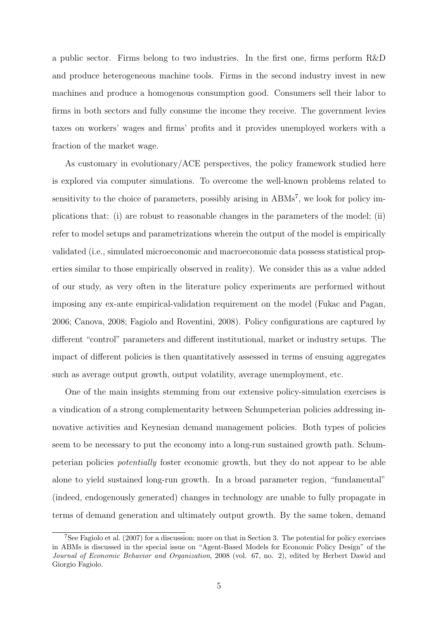a public sector. Firms belong to two industries. In the first one, firms perform R&D and produce heterogeneous machine tools. Firms in the second industry invest in new machines and produce a homogenous consumption good. Consumers sell their labor to firms in both sectors and fully consume the income they receive. The government levies taxes on workers' wages and firms' profits and it provides unemployed workers with a fraction of the market wage.

As customary in evolutionary/ $\angle$ ACE perspectives, the policy framework studied here is explored via computer simulations. To overcome the well-known problems related to sensitivity to the choice of parameters, possibly arising in ABMs<sup>7</sup>, we look for policy implications that: (i) are robust to reasonable changes in the parameters of the model; (ii) refer to model setups and parametrizations wherein the output of the model is empirically validated (i.e., simulated microeconomic and macroeconomic data possess statistical properties similar to those empirically observed in reality). We consider this as a value added of our study, as very often in the literature policy experiments are performed without imposing any ex-ante empirical-validation requirement on the model (Fukac and Pagan, 2006; Canova, 2008; Fagiolo and Roventini, 2008). Policy configurations are captured by different "control" parameters and different institutional, market or industry setups. The impact of different policies is then quantitatively assessed in terms of ensuing aggregates such as average output growth, output volatility, average unemployment, etc.

One of the main insights stemming from our extensive policy-simulation exercises is a vindication of a strong complementarity between Schumpeterian policies addressing innovative activities and Keynesian demand management policies. Both types of policies seem to be necessary to put the economy into a long-run sustained growth path. Schumpeterian policies potentially foster economic growth, but they do not appear to be able alone to yield sustained long-run growth. In a broad parameter region, "fundamental" (indeed, endogenously generated) changes in technology are unable to fully propagate in terms of demand generation and ultimately output growth. By the same token, demand

<sup>7</sup>See Fagiolo et al. (2007) for a discussion; more on that in Section 3. The potential for policy exercises in ABMs is discussed in the special issue on "Agent-Based Models for Economic Policy Design" of the Journal of Economic Behavior and Organization, 2008 (vol. 67, no. 2), edited by Herbert Dawid and Giorgio Fagiolo.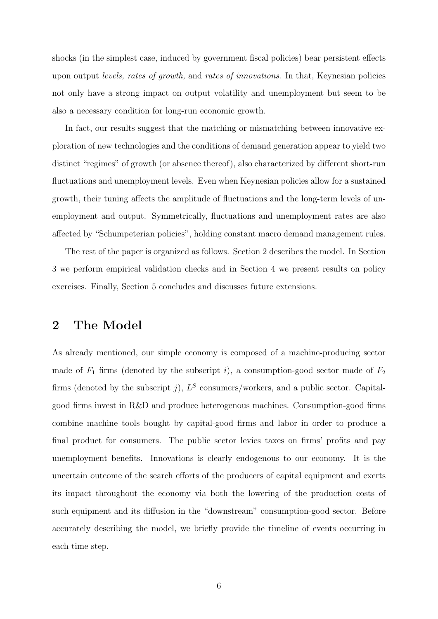shocks (in the simplest case, induced by government fiscal policies) bear persistent effects upon output levels, rates of growth, and rates of innovations. In that, Keynesian policies not only have a strong impact on output volatility and unemployment but seem to be also a necessary condition for long-run economic growth.

In fact, our results suggest that the matching or mismatching between innovative exploration of new technologies and the conditions of demand generation appear to yield two distinct "regimes" of growth (or absence thereof), also characterized by different short-run fluctuations and unemployment levels. Even when Keynesian policies allow for a sustained growth, their tuning affects the amplitude of fluctuations and the long-term levels of unemployment and output. Symmetrically, fluctuations and unemployment rates are also affected by "Schumpeterian policies", holding constant macro demand management rules.

The rest of the paper is organized as follows. Section 2 describes the model. In Section 3 we perform empirical validation checks and in Section 4 we present results on policy exercises. Finally, Section 5 concludes and discusses future extensions.

## 2 The Model

As already mentioned, our simple economy is composed of a machine-producing sector made of  $F_1$  firms (denoted by the subscript i), a consumption-good sector made of  $F_2$ firms (denoted by the subscript j),  $L^S$  consumers/workers, and a public sector. Capitalgood firms invest in R&D and produce heterogenous machines. Consumption-good firms combine machine tools bought by capital-good firms and labor in order to produce a final product for consumers. The public sector levies taxes on firms' profits and pay unemployment benefits. Innovations is clearly endogenous to our economy. It is the uncertain outcome of the search efforts of the producers of capital equipment and exerts its impact throughout the economy via both the lowering of the production costs of such equipment and its diffusion in the "downstream" consumption-good sector. Before accurately describing the model, we briefly provide the timeline of events occurring in each time step.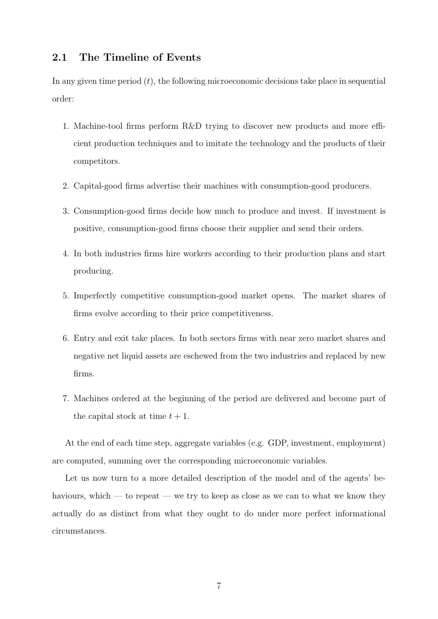#### 2.1 The Timeline of Events

In any given time period  $(t)$ , the following microeconomic decisions take place in sequential order:

- 1. Machine-tool firms perform R&D trying to discover new products and more efficient production techniques and to imitate the technology and the products of their competitors.
- 2. Capital-good firms advertise their machines with consumption-good producers.
- 3. Consumption-good firms decide how much to produce and invest. If investment is positive, consumption-good firms choose their supplier and send their orders.
- 4. In both industries firms hire workers according to their production plans and start producing.
- 5. Imperfectly competitive consumption-good market opens. The market shares of firms evolve according to their price competitiveness.
- 6. Entry and exit take places. In both sectors firms with near zero market shares and negative net liquid assets are eschewed from the two industries and replaced by new firms.
- 7. Machines ordered at the beginning of the period are delivered and become part of the capital stock at time  $t + 1$ .

At the end of each time step, aggregate variables (e.g. GDP, investment, employment) are computed, summing over the corresponding microeconomic variables.

Let us now turn to a more detailed description of the model and of the agents' behaviours, which — to repeat — we try to keep as close as we can to what we know they actually do as distinct from what they ought to do under more perfect informational circumstances.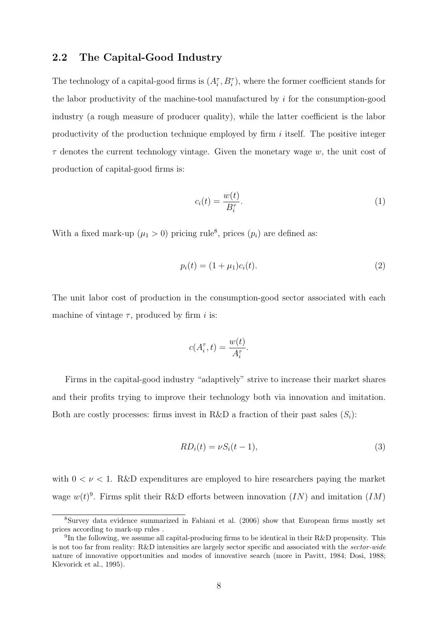#### 2.2 The Capital-Good Industry

The technology of a capital-good firms is  $(A_i^{\tau}, B_i^{\tau})$ , where the former coefficient stands for the labor productivity of the machine-tool manufactured by  $i$  for the consumption-good industry (a rough measure of producer quality), while the latter coefficient is the labor productivity of the production technique employed by firm  $i$  itself. The positive integer  $\tau$  denotes the current technology vintage. Given the monetary wage w, the unit cost of production of capital-good firms is:

$$
c_i(t) = \frac{w(t)}{B_i^{\tau}}.\tag{1}
$$

With a fixed mark-up  $(\mu_1 > 0)$  pricing rule<sup>8</sup>, prices  $(p_i)$  are defined as:

$$
p_i(t) = (1 + \mu_1)c_i(t). \tag{2}
$$

The unit labor cost of production in the consumption-good sector associated with each machine of vintage  $\tau$ , produced by firm *i* is:

$$
c(A_i^{\tau}, t) = \frac{w(t)}{A_i^{\tau}}.
$$

Firms in the capital-good industry "adaptively" strive to increase their market shares and their profits trying to improve their technology both via innovation and imitation. Both are costly processes: firms invest in R&D a fraction of their past sales  $(S_i)$ :

$$
RD_i(t) = \nu S_i(t-1),\tag{3}
$$

with  $0 < \nu < 1$ . R&D expenditures are employed to hire researchers paying the market wage  $w(t)^9$ . Firms split their R&D efforts between innovation  $(IN)$  and imitation  $(IM)$ 

<sup>8</sup>Survey data evidence summarized in Fabiani et al. (2006) show that European firms mostly set prices according to mark-up rules .

<sup>&</sup>lt;sup>9</sup>In the following, we assume all capital-producing firms to be identical in their R&D propensity. This is not too far from reality: R&D intensities are largely sector specific and associated with the sector-wide nature of innovative opportunities and modes of innovative search (more in Pavitt, 1984; Dosi, 1988; Klevorick et al., 1995).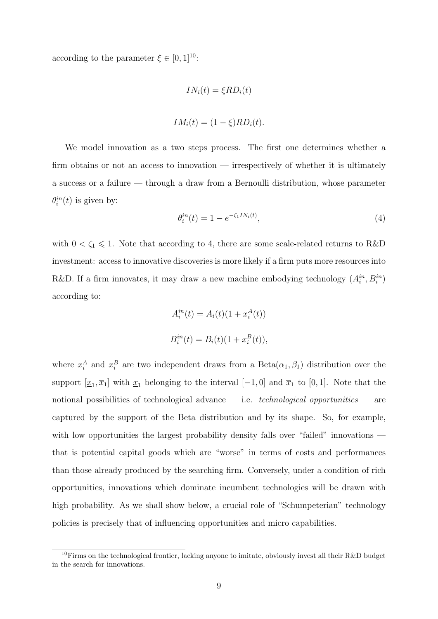according to the parameter  $\xi \in [0, 1]^{10}$ :

$$
IN_i(t) = \xi R D_i(t)
$$
  

$$
IM_i(t) = (1 - \xi) R D_i(t).
$$

We model innovation as a two steps process. The first one determines whether a firm obtains or not an access to innovation — irrespectively of whether it is ultimately a success or a failure — through a draw from a Bernoulli distribution, whose parameter  $\theta_i^{in}(t)$  is given by:

$$
\theta_i^{in}(t) = 1 - e^{-\zeta_1 IN_i(t)},\tag{4}
$$

with  $0 < \zeta_1 \leq 1$ . Note that according to 4, there are some scale-related returns to R&D investment: access to innovative discoveries is more likely if a firm puts more resources into R&D. If a firm innovates, it may draw a new machine embodying technology  $(A_i^{in}, B_i^{in})$ according to:

$$
A_i^{in}(t) = A_i(t)(1 + x_i^{A}(t))
$$
  

$$
B_i^{in}(t) = B_i(t)(1 + x_i^{B}(t)),
$$

where  $x_i^A$  and  $x_i^B$  are two independent draws from a Beta $(\alpha_1, \beta_1)$  distribution over the support  $[\underline{x}_1, \overline{x}_1]$  with  $\underline{x}_1$  belonging to the interval  $[-1, 0]$  and  $\overline{x}_1$  to  $[0, 1]$ . Note that the notional possibilities of technological advance  $-$  i.e. technological opportunities  $-$  are captured by the support of the Beta distribution and by its shape. So, for example, with low opportunities the largest probability density falls over "failed" innovations that is potential capital goods which are "worse" in terms of costs and performances than those already produced by the searching firm. Conversely, under a condition of rich opportunities, innovations which dominate incumbent technologies will be drawn with high probability. As we shall show below, a crucial role of "Schumpeterian" technology policies is precisely that of influencing opportunities and micro capabilities.

 $10$ Firms on the technological frontier, lacking anyone to imitate, obviously invest all their R&D budget in the search for innovations.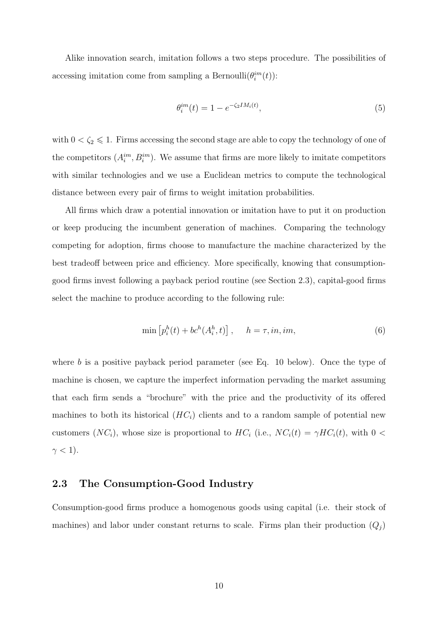Alike innovation search, imitation follows a two steps procedure. The possibilities of accessing imitation come from sampling a Bernoulli $(\theta_i^{im}(t))$ :

$$
\theta_i^{im}(t) = 1 - e^{-\zeta_2 I M_i(t)},\tag{5}
$$

with  $0 < \zeta_2 \leq 1$ . Firms accessing the second stage are able to copy the technology of one of the competitors  $(A_i^{im}, B_i^{im})$ . We assume that firms are more likely to imitate competitors with similar technologies and we use a Euclidean metrics to compute the technological distance between every pair of firms to weight imitation probabilities.

All firms which draw a potential innovation or imitation have to put it on production or keep producing the incumbent generation of machines. Comparing the technology competing for adoption, firms choose to manufacture the machine characterized by the best tradeoff between price and efficiency. More specifically, knowing that consumptiongood firms invest following a payback period routine (see Section 2.3), capital-good firms select the machine to produce according to the following rule:

$$
\min\left[p_i^h(t) + bc^h(A_i^h, t)\right], \quad h = \tau, in, im,
$$
\n(6)

where  $b$  is a positive payback period parameter (see Eq. 10 below). Once the type of machine is chosen, we capture the imperfect information pervading the market assuming that each firm sends a "brochure" with the price and the productivity of its offered machines to both its historical  $(HC_i)$  clients and to a random sample of potential new customers (NC<sub>i</sub>), whose size is proportional to  $HC_i$  (i.e.,  $NC_i(t) = \gamma HC_i(t)$ , with 0 <  $\gamma$  < 1).

#### 2.3 The Consumption-Good Industry

Consumption-good firms produce a homogenous goods using capital (i.e. their stock of machines) and labor under constant returns to scale. Firms plan their production  $(Q_i)$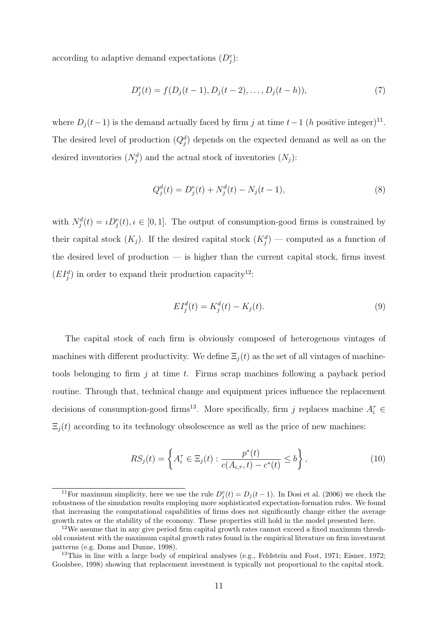according to adaptive demand expectations  $(D_j^e)$ :

$$
D_j^e(t) = f(D_j(t-1), D_j(t-2), \dots, D_j(t-h)),
$$
\n(7)

where  $D_j(t-1)$  is the demand actually faced by firm j at time  $t-1$  (h positive integer)<sup>11</sup>. The desired level of production  $(Q_j^d)$  depends on the expected demand as well as on the desired inventories  $(N_j^d)$  and the actual stock of inventories  $(N_j)$ :

$$
Q_j^d(t) = D_j^e(t) + N_j^d(t) - N_j(t-1),
$$
\n(8)

with  $N_j^d(t) = \iota D_j^e(t), \iota \in [0,1].$  The output of consumption-good firms is constrained by their capital stock  $(K_j)$ . If the desired capital stock  $(K_j^d)$  — computed as a function of the desired level of production — is higher than the current capital stock, firms invest  $(EI_j^d)$  in order to expand their production capacity<sup>12</sup>:

$$
EI_j^d(t) = K_j^d(t) - K_j(t).
$$
\n(9)

The capital stock of each firm is obviously composed of heterogenous vintages of machines with different productivity. We define  $\Xi_i(t)$  as the set of all vintages of machinetools belonging to firm  $i$  at time  $t$ . Firms scrap machines following a payback period routine. Through that, technical change and equipment prices influence the replacement decisions of consumption-good firms<sup>13</sup>. More specifically, firm j replaces machine  $A_i^{\tau} \in$  $\Xi_i(t)$  according to its technology obsolescence as well as the price of new machines:

$$
RS_j(t) = \left\{ A_i^{\tau} \in \Xi_j(t) : \frac{p^*(t)}{c(A_{i,\tau}, t) - c^*(t)} \le b \right\},\tag{10}
$$

<sup>&</sup>lt;sup>11</sup>For maximum simplicity, here we use the rule  $D_j^e(t) = D_j(t-1)$ . In Dosi et al. (2006) we check the robustness of the simulation results employing more sophisticated expectation-formation rules. We found that increasing the computational capabilities of firms does not significantly change either the average growth rates or the stability of the economy. These properties still hold in the model presented here.

<sup>12</sup>We assume that in any give period firm capital growth rates cannot exceed a fixed maximum threshold consistent with the maximum capital growth rates found in the empirical literature on firm investment patterns (e.g. Doms and Dunne, 1998).

<sup>&</sup>lt;sup>13</sup>This in line with a large body of empirical analyses (e.g., Feldstein and Foot, 1971; Eisner, 1972; Goolsbee, 1998) showing that replacement investment is typically not proportional to the capital stock.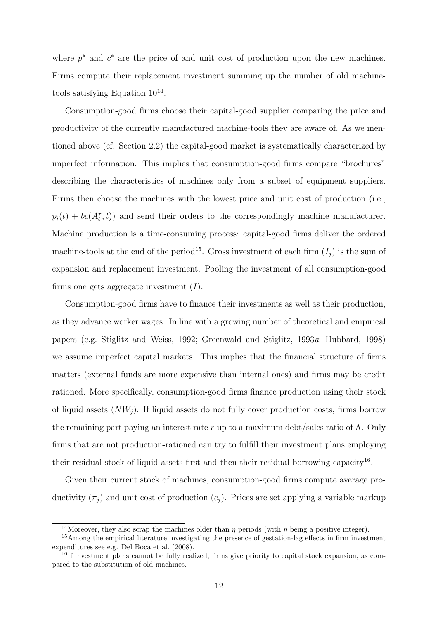where  $p^*$  and  $c^*$  are the price of and unit cost of production upon the new machines. Firms compute their replacement investment summing up the number of old machinetools satisfying Equation  $10^{14}$ .

Consumption-good firms choose their capital-good supplier comparing the price and productivity of the currently manufactured machine-tools they are aware of. As we mentioned above (cf. Section 2.2) the capital-good market is systematically characterized by imperfect information. This implies that consumption-good firms compare "brochures" describing the characteristics of machines only from a subset of equipment suppliers. Firms then choose the machines with the lowest price and unit cost of production (i.e.,  $p_i(t) + bc(A_i^{\tau}, t)$  and send their orders to the correspondingly machine manufacturer. Machine production is a time-consuming process: capital-good firms deliver the ordered machine-tools at the end of the period<sup>15</sup>. Gross investment of each firm  $(I_j)$  is the sum of expansion and replacement investment. Pooling the investment of all consumption-good firms one gets aggregate investment  $(I)$ .

Consumption-good firms have to finance their investments as well as their production, as they advance worker wages. In line with a growing number of theoretical and empirical papers (e.g. Stiglitz and Weiss, 1992; Greenwald and Stiglitz, 1993a; Hubbard, 1998) we assume imperfect capital markets. This implies that the financial structure of firms matters (external funds are more expensive than internal ones) and firms may be credit rationed. More specifically, consumption-good firms finance production using their stock of liquid assets  $(NW_i)$ . If liquid assets do not fully cover production costs, firms borrow the remaining part paying an interest rate r up to a maximum debt/sales ratio of  $\Lambda$ . Only firms that are not production-rationed can try to fulfill their investment plans employing their residual stock of liquid assets first and then their residual borrowing capacity<sup>16</sup>.

Given their current stock of machines, consumption-good firms compute average productivity  $(\pi_i)$  and unit cost of production  $(c_i)$ . Prices are set applying a variable markup

<sup>&</sup>lt;sup>14</sup>Moreover, they also scrap the machines older than  $\eta$  periods (with  $\eta$  being a positive integer).

<sup>15</sup>Among the empirical literature investigating the presence of gestation-lag effects in firm investment expenditures see e.g. Del Boca et al. (2008).

<sup>&</sup>lt;sup>16</sup>If investment plans cannot be fully realized, firms give priority to capital stock expansion, as compared to the substitution of old machines.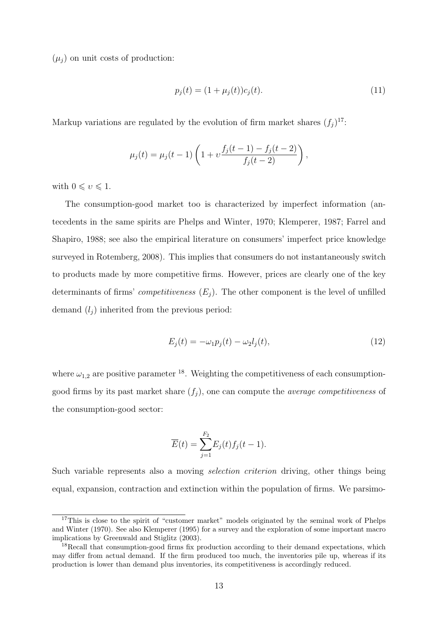$(\mu_i)$  on unit costs of production:

$$
p_j(t) = (1 + \mu_j(t))c_j(t). \tag{11}
$$

Markup variations are regulated by the evolution of firm market shares  $(f_j)^{17}$ :

$$
\mu_j(t) = \mu_j(t-1) \left( 1 + v \frac{f_j(t-1) - f_j(t-2)}{f_j(t-2)} \right),
$$

with  $0 \le v \le 1$ .

The consumption-good market too is characterized by imperfect information (antecedents in the same spirits are Phelps and Winter, 1970; Klemperer, 1987; Farrel and Shapiro, 1988; see also the empirical literature on consumers' imperfect price knowledge surveyed in Rotemberg, 2008). This implies that consumers do not instantaneously switch to products made by more competitive firms. However, prices are clearly one of the key determinants of firms' competitiveness  $(E_i)$ . The other component is the level of unfilled demand  $(l_i)$  inherited from the previous period:

$$
E_j(t) = -\omega_1 p_j(t) - \omega_2 l_j(t),\tag{12}
$$

where  $\omega_{1,2}$  are positive parameter <sup>18</sup>. Weighting the competitiveness of each consumptiongood firms by its past market share  $(f_j)$ , one can compute the *average competitiveness* of the consumption-good sector:

$$
\overline{E}(t) = \sum_{j=1}^{F_2} E_j(t) f_j(t-1).
$$

Such variable represents also a moving selection criterion driving, other things being equal, expansion, contraction and extinction within the population of firms. We parsimo-

<sup>&</sup>lt;sup>17</sup>This is close to the spirit of "customer market" models originated by the seminal work of Phelps and Winter (1970). See also Klemperer (1995) for a survey and the exploration of some important macro implications by Greenwald and Stiglitz (2003).

<sup>&</sup>lt;sup>18</sup>Recall that consumption-good firms fix production according to their demand expectations, which may differ from actual demand. If the firm produced too much, the inventories pile up, whereas if its production is lower than demand plus inventories, its competitiveness is accordingly reduced.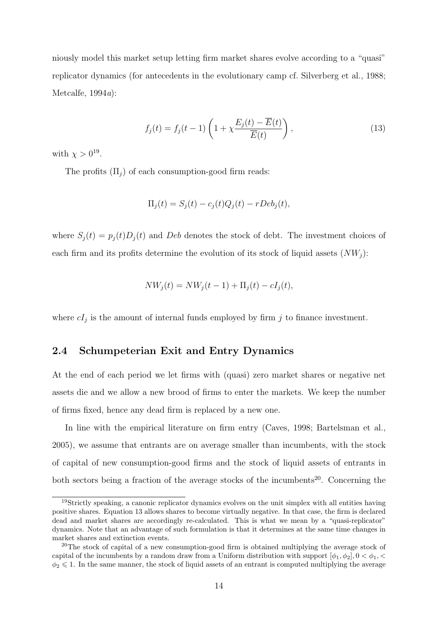niously model this market setup letting firm market shares evolve according to a "quasi" replicator dynamics (for antecedents in the evolutionary camp cf. Silverberg et al., 1988; Metcalfe,  $1994a$ :

$$
f_j(t) = f_j(t-1) \left( 1 + \chi \frac{E_j(t) - \overline{E}(t)}{\overline{E}(t)} \right), \tag{13}
$$

with  $\chi > 0^{19}$ .

The profits  $(\Pi_i)$  of each consumption-good firm reads:

$$
\Pi_j(t) = S_j(t) - c_j(t)Q_j(t) - rDeb_j(t),
$$

where  $S_j(t) = p_j(t)D_j(t)$  and Deb denotes the stock of debt. The investment choices of each firm and its profits determine the evolution of its stock of liquid assets  $(NW_i)$ :

$$
NW_j(t) = NW_j(t-1) + \Pi_j(t) - cI_j(t),
$$

where  $cI_j$  is the amount of internal funds employed by firm j to finance investment.

#### 2.4 Schumpeterian Exit and Entry Dynamics

At the end of each period we let firms with (quasi) zero market shares or negative net assets die and we allow a new brood of firms to enter the markets. We keep the number of firms fixed, hence any dead firm is replaced by a new one.

In line with the empirical literature on firm entry (Caves, 1998; Bartelsman et al., 2005), we assume that entrants are on average smaller than incumbents, with the stock of capital of new consumption-good firms and the stock of liquid assets of entrants in both sectors being a fraction of the average stocks of the incumbents<sup>20</sup>. Concerning the

<sup>19</sup>Strictly speaking, a canonic replicator dynamics evolves on the unit simplex with all entities having positive shares. Equation 13 allows shares to become virtually negative. In that case, the firm is declared dead and market shares are accordingly re-calculated. This is what we mean by a "quasi-replicator" dynamics. Note that an advantage of such formulation is that it determines at the same time changes in market shares and extinction events.

<sup>&</sup>lt;sup>20</sup>The stock of capital of a new consumption-good firm is obtained multiplying the average stock of capital of the incumbents by a random draw from a Uniform distribution with support  $[\phi_1, \phi_2], 0 < \phi_1,$  $\phi_2 \leq 1$ . In the same manner, the stock of liquid assets of an entrant is computed multiplying the average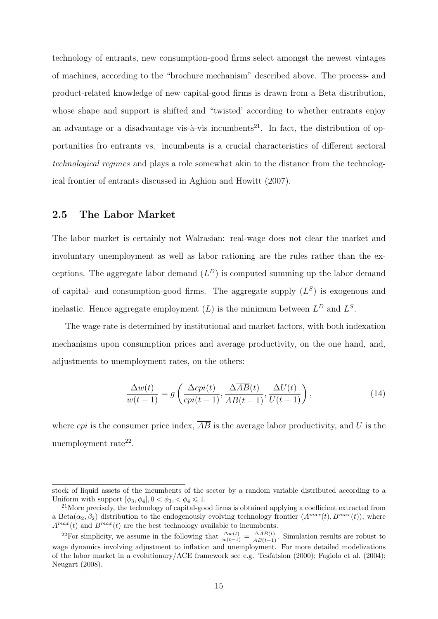technology of entrants, new consumption-good firms select amongst the newest vintages of machines, according to the "brochure mechanism" described above. The process- and product-related knowledge of new capital-good firms is drawn from a Beta distribution, whose shape and support is shifted and "twisted' according to whether entrants enjoy an advantage or a disadvantage vis- $\hat{a}$ -vis incumbents<sup>21</sup>. In fact, the distribution of opportunities fro entrants vs. incumbents is a crucial characteristics of different sectoral technological regimes and plays a role somewhat akin to the distance from the technological frontier of entrants discussed in Aghion and Howitt (2007).

#### 2.5 The Labor Market

The labor market is certainly not Walrasian: real-wage does not clear the market and involuntary unemployment as well as labor rationing are the rules rather than the exceptions. The aggregate labor demand  $(L^D)$  is computed summing up the labor demand of capital- and consumption-good firms. The aggregate supply  $(L^S)$  is exogenous and inelastic. Hence aggregate employment  $(L)$  is the minimum between  $L^D$  and  $L^S$ .

The wage rate is determined by institutional and market factors, with both indexation mechanisms upon consumption prices and average productivity, on the one hand, and, adjustments to unemployment rates, on the others:

$$
\frac{\Delta w(t)}{w(t-1)} = g\left(\frac{\Delta cpi(t)}{cpi(t-1)}, \frac{\Delta \overline{AB}(t)}{\overline{AB}(t-1)}, \frac{\Delta U(t)}{U(t-1)}\right),\tag{14}
$$

where *cpi* is the consumer price index,  $\overline{AB}$  is the average labor productivity, and U is the unemployment rate<sup>22</sup>.

stock of liquid assets of the incumbents of the sector by a random variable distributed according to a Uniform with support  $[\phi_3, \phi_4]$ ,  $0 < \phi_3$ ,  $\lt \phi_4 \leq 1$ .

<sup>&</sup>lt;sup>21</sup>More precisely, the technology of capital-good firms is obtained applying a coefficient extracted from a Beta $(\alpha_2, \beta_2)$  distribution to the endogenously evolving technology frontier  $(A^{max}(t), B^{max}(t))$ , where  $A^{max}(t)$  and  $B^{max}(t)$  are the best technology available to incumbents.

<sup>&</sup>lt;sup>22</sup>For simplicity, we assume in the following that  $\frac{\Delta w(t)}{w(t-1)} = \frac{\Delta AB(t)}{AB(t-1)}$ . Simulation results are robust to wage dynamics involving adjustment to inflation and unemployment. For more detailed modelizations of the labor market in a evolutionary/ACE framework see e.g. Tesfatsion (2000); Fagiolo et al. (2004); Neugart (2008).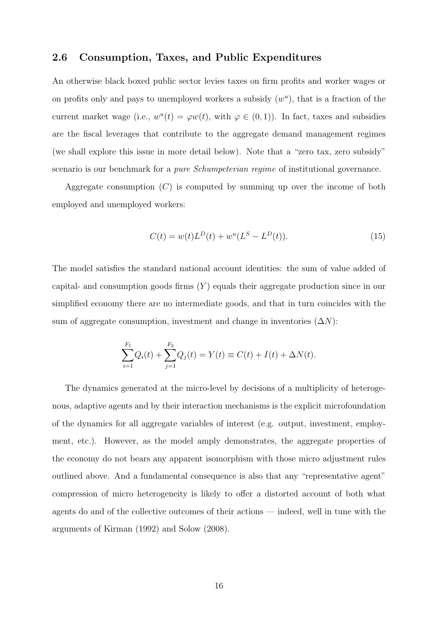#### 2.6 Consumption, Taxes, and Public Expenditures

An otherwise black boxed public sector levies taxes on firm profits and worker wages or on profits only and pays to unemployed workers a subsidy  $(w<sup>u</sup>)$ , that is a fraction of the current market wage (i.e.,  $w^u(t) = \varphi w(t)$ , with  $\varphi \in (0, 1)$ ). In fact, taxes and subsidies are the fiscal leverages that contribute to the aggregate demand management regimes (we shall explore this issue in more detail below). Note that a "zero tax, zero subsidy" scenario is our benchmark for a *pure Schumpeterian regime* of institutional governance.

Aggregate consumption  $(C)$  is computed by summing up over the income of both employed and unemployed workers:

$$
C(t) = w(t)L^{D}(t) + w^{u}(L^{S} - L^{D}(t)).
$$
\n(15)

The model satisfies the standard national account identities: the sum of value added of capital- and consumption goods firms  $(Y)$  equals their aggregate production since in our simplified economy there are no intermediate goods, and that in turn coincides with the sum of aggregate consumption, investment and change in inventories  $(\Delta N)$ :

$$
\sum_{i=1}^{F_1} Q_i(t) + \sum_{j=1}^{F_2} Q_j(t) = Y(t) \equiv C(t) + I(t) + \Delta N(t).
$$

The dynamics generated at the micro-level by decisions of a multiplicity of heterogenous, adaptive agents and by their interaction mechanisms is the explicit microfoundation of the dynamics for all aggregate variables of interest (e.g. output, investment, employment, etc.). However, as the model amply demonstrates, the aggregate properties of the economy do not bears any apparent isomorphism with those micro adjustment rules outlined above. And a fundamental consequence is also that any "representative agent" compression of micro heterogeneity is likely to offer a distorted account of both what agents do and of the collective outcomes of their actions — indeed, well in tune with the arguments of Kirman (1992) and Solow (2008).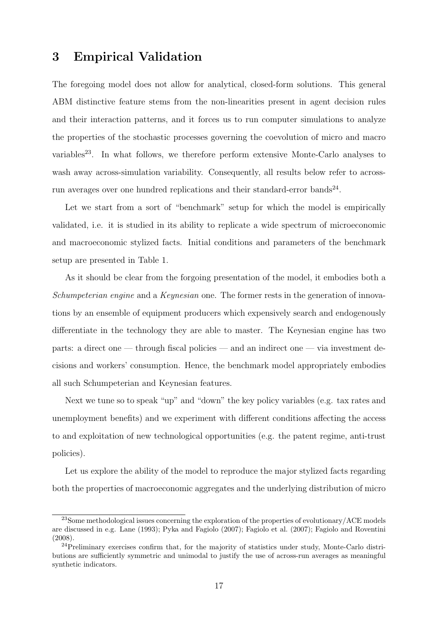## 3 Empirical Validation

The foregoing model does not allow for analytical, closed-form solutions. This general ABM distinctive feature stems from the non-linearities present in agent decision rules and their interaction patterns, and it forces us to run computer simulations to analyze the properties of the stochastic processes governing the coevolution of micro and macro variables<sup>23</sup>. In what follows, we therefore perform extensive Monte-Carlo analyses to wash away across-simulation variability. Consequently, all results below refer to acrossrun averages over one hundred replications and their standard-error bands<sup>24</sup>.

Let we start from a sort of "benchmark" setup for which the model is empirically validated, i.e. it is studied in its ability to replicate a wide spectrum of microeconomic and macroeconomic stylized facts. Initial conditions and parameters of the benchmark setup are presented in Table 1.

As it should be clear from the forgoing presentation of the model, it embodies both a Schumpeterian engine and a Keynesian one. The former rests in the generation of innovations by an ensemble of equipment producers which expensively search and endogenously differentiate in the technology they are able to master. The Keynesian engine has two parts: a direct one — through fiscal policies — and an indirect one — via investment decisions and workers' consumption. Hence, the benchmark model appropriately embodies all such Schumpeterian and Keynesian features.

Next we tune so to speak "up" and "down" the key policy variables (e.g. tax rates and unemployment benefits) and we experiment with different conditions affecting the access to and exploitation of new technological opportunities (e.g. the patent regime, anti-trust policies).

Let us explore the ability of the model to reproduce the major stylized facts regarding both the properties of macroeconomic aggregates and the underlying distribution of micro

<sup>&</sup>lt;sup>23</sup>Some methodological issues concerning the exploration of the properties of evolutionary/ACE models are discussed in e.g. Lane (1993); Pyka and Fagiolo (2007); Fagiolo et al. (2007); Fagiolo and Roventini (2008).

<sup>24</sup>Preliminary exercises confirm that, for the majority of statistics under study, Monte-Carlo distributions are sufficiently symmetric and unimodal to justify the use of across-run averages as meaningful synthetic indicators.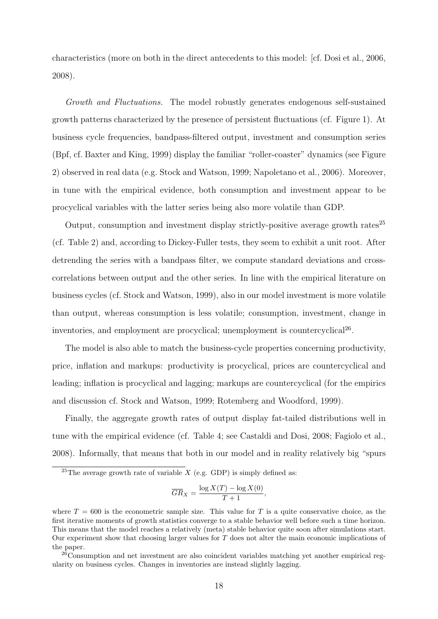characteristics (more on both in the direct antecedents to this model: [cf. Dosi et al., 2006, 2008).

Growth and Fluctuations. The model robustly generates endogenous self-sustained growth patterns characterized by the presence of persistent fluctuations (cf. Figure 1). At business cycle frequencies, bandpass-filtered output, investment and consumption series (Bpf, cf. Baxter and King, 1999) display the familiar "roller-coaster" dynamics (see Figure 2) observed in real data (e.g. Stock and Watson, 1999; Napoletano et al., 2006). Moreover, in tune with the empirical evidence, both consumption and investment appear to be procyclical variables with the latter series being also more volatile than GDP.

Output, consumption and investment display strictly-positive average growth rates<sup>25</sup> (cf. Table 2) and, according to Dickey-Fuller tests, they seem to exhibit a unit root. After detrending the series with a bandpass filter, we compute standard deviations and crosscorrelations between output and the other series. In line with the empirical literature on business cycles (cf. Stock and Watson, 1999), also in our model investment is more volatile than output, whereas consumption is less volatile; consumption, investment, change in inventories, and employment are procyclical; unemployment is countercyclical<sup>26</sup>.

The model is also able to match the business-cycle properties concerning productivity, price, inflation and markups: productivity is procyclical, prices are countercyclical and leading; inflation is procyclical and lagging; markups are countercyclical (for the empirics and discussion cf. Stock and Watson, 1999; Rotemberg and Woodford, 1999).

Finally, the aggregate growth rates of output display fat-tailed distributions well in tune with the empirical evidence (cf. Table 4; see Castaldi and Dosi, 2008; Fagiolo et al., 2008). Informally, that means that both in our model and in reality relatively big "spurs

$$
\overline{GR}_X = \frac{\log X(T) - \log X(0)}{T + 1},
$$

<sup>&</sup>lt;sup>25</sup>The average growth rate of variable X (e.g. GDP) is simply defined as:

where  $T = 600$  is the econometric sample size. This value for T is a quite conservative choice, as the first iterative moments of growth statistics converge to a stable behavior well before such a time horizon. This means that the model reaches a relatively (meta) stable behavior quite soon after simulations start. Our experiment show that choosing larger values for T does not alter the main economic implications of the paper.

<sup>&</sup>lt;sup>26</sup>Consumption and net investment are also coincident variables matching yet another empirical regularity on business cycles. Changes in inventories are instead slightly lagging.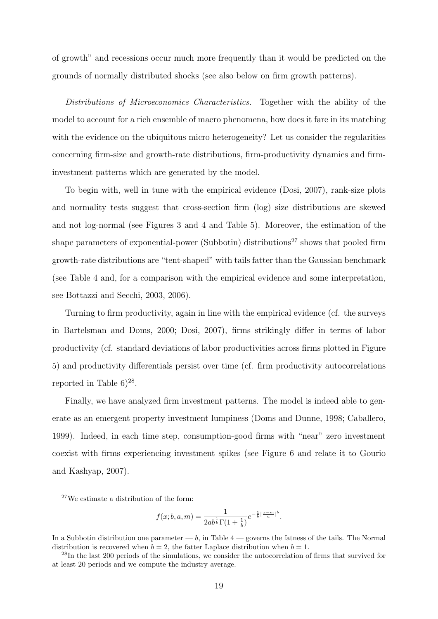of growth" and recessions occur much more frequently than it would be predicted on the grounds of normally distributed shocks (see also below on firm growth patterns).

Distributions of Microeconomics Characteristics. Together with the ability of the model to account for a rich ensemble of macro phenomena, how does it fare in its matching with the evidence on the ubiquitous micro heterogeneity? Let us consider the regularities concerning firm-size and growth-rate distributions, firm-productivity dynamics and firminvestment patterns which are generated by the model.

To begin with, well in tune with the empirical evidence (Dosi, 2007), rank-size plots and normality tests suggest that cross-section firm (log) size distributions are skewed and not log-normal (see Figures 3 and 4 and Table 5). Moreover, the estimation of the shape parameters of exponential-power (Subbotin) distributions<sup>27</sup> shows that pooled firm growth-rate distributions are "tent-shaped" with tails fatter than the Gaussian benchmark (see Table 4 and, for a comparison with the empirical evidence and some interpretation, see Bottazzi and Secchi, 2003, 2006).

Turning to firm productivity, again in line with the empirical evidence (cf. the surveys in Bartelsman and Doms, 2000; Dosi, 2007), firms strikingly differ in terms of labor productivity (cf. standard deviations of labor productivities across firms plotted in Figure 5) and productivity differentials persist over time (cf. firm productivity autocorrelations reported in Table  $6)^{28}$ .

Finally, we have analyzed firm investment patterns. The model is indeed able to generate as an emergent property investment lumpiness (Doms and Dunne, 1998; Caballero, 1999). Indeed, in each time step, consumption-good firms with "near" zero investment coexist with firms experiencing investment spikes (see Figure 6 and relate it to Gourio and Kashyap, 2007).

$$
f(x; b, a, m) = \frac{1}{2ab^{\frac{1}{b}}\Gamma(1+\frac{1}{b})}e^{-\frac{1}{b}|\frac{x-m}{a}|^{b}}.
$$

<sup>27</sup>We estimate a distribution of the form:

In a Subbotin distribution one parameter  $-b$ , in Table  $4$  — governs the fatness of the tails. The Normal distribution is recovered when  $b = 2$ , the fatter Laplace distribution when  $b = 1$ .

<sup>&</sup>lt;sup>28</sup>In the last 200 periods of the simulations, we consider the autocorrelation of firms that survived for at least 20 periods and we compute the industry average.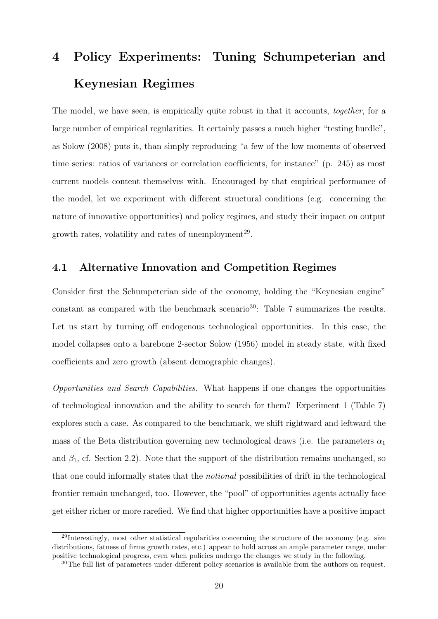# 4 Policy Experiments: Tuning Schumpeterian and Keynesian Regimes

The model, we have seen, is empirically quite robust in that it accounts, *together*, for a large number of empirical regularities. It certainly passes a much higher "testing hurdle", as Solow (2008) puts it, than simply reproducing "a few of the low moments of observed time series: ratios of variances or correlation coefficients, for instance" (p. 245) as most current models content themselves with. Encouraged by that empirical performance of the model, let we experiment with different structural conditions (e.g. concerning the nature of innovative opportunities) and policy regimes, and study their impact on output growth rates, volatility and rates of unemployment<sup>29</sup>.

#### 4.1 Alternative Innovation and Competition Regimes

Consider first the Schumpeterian side of the economy, holding the "Keynesian engine" constant as compared with the benchmark scenario<sup>30</sup>: Table 7 summarizes the results. Let us start by turning off endogenous technological opportunities. In this case, the model collapses onto a barebone 2-sector Solow (1956) model in steady state, with fixed coefficients and zero growth (absent demographic changes).

Opportunities and Search Capabilities. What happens if one changes the opportunities of technological innovation and the ability to search for them? Experiment 1 (Table 7) explores such a case. As compared to the benchmark, we shift rightward and leftward the mass of the Beta distribution governing new technological draws (i.e. the parameters  $\alpha_1$ and  $\beta_1$ , cf. Section 2.2). Note that the support of the distribution remains unchanged, so that one could informally states that the notional possibilities of drift in the technological frontier remain unchanged, too. However, the "pool" of opportunities agents actually face get either richer or more rarefied. We find that higher opportunities have a positive impact

<sup>&</sup>lt;sup>29</sup>Interestingly, most other statistical regularities concerning the structure of the economy (e.g. size distributions, fatness of firms growth rates, etc.) appear to hold across an ample parameter range, under positive technological progress, even when policies undergo the changes we study in the following.

<sup>&</sup>lt;sup>30</sup>The full list of parameters under different policy scenarios is available from the authors on request.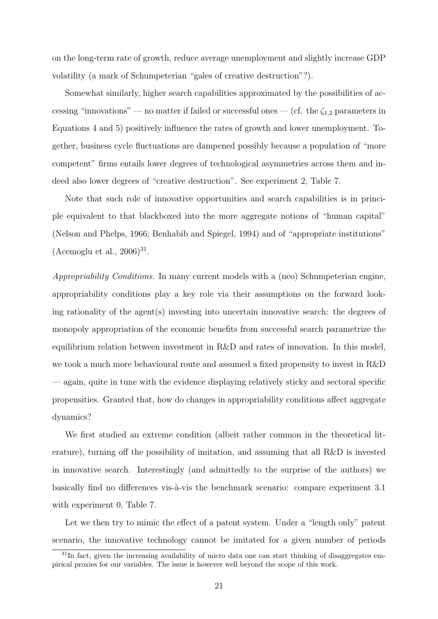on the long-term rate of growth, reduce average unemployment and slightly increase GDP volatility (a mark of Schumpeterian "gales of creative destruction"?).

Somewhat similarly, higher search capabilities approximated by the possibilities of accessing "innovations" — no matter if failed or successful ones — (cf. the  $\zeta_{1,2}$  parameters in Equations 4 and 5) positively influence the rates of growth and lower unemployment. Together, business cycle fluctuations are dampened possibly because a population of "more competent" firms entails lower degrees of technological asymmetries across them and indeed also lower degrees of "creative destruction". See experiment 2, Table 7.

Note that such role of innovative opportunities and search capabilities is in principle equivalent to that blackboxed into the more aggregate notions of "human capital" (Nelson and Phelps, 1966; Benhabib and Spiegel, 1994) and of "appropriate institutions"  $(Acemoglu et al., 2006)^{31}.$ 

Appropriability Conditions. In many current models with a (neo) Schumpeterian engine, appropriability conditions play a key role via their assumptions on the forward looking rationality of the agent(s) investing into uncertain innovative search: the degrees of monopoly appropriation of the economic benefits from successful search parametrize the equilibrium relation between investment in R&D and rates of innovation. In this model, we took a much more behavioural route and assumed a fixed propensity to invest in R&D — again, quite in tune with the evidence displaying relatively sticky and sectoral specific propensities. Granted that, how do changes in appropriability conditions affect aggregate dynamics?

We first studied an extreme condition (albeit rather common in the theoretical literature), turning off the possibility of imitation, and assuming that all R&D is invested in innovative search. Interestingly (and admittedly to the surprise of the authors) we basically find no differences vis-à-vis the benchmark scenario: compare experiment 3.1 with experiment 0, Table 7.

Let we then try to mimic the effect of a patent system. Under a "length only" patent scenario, the innovative technology cannot be imitated for a given number of periods

<sup>&</sup>lt;sup>31</sup>In fact, given the increasing availability of micro data one can start thinking of disaggregates empirical proxies for our variables. The issue is however well beyond the scope of this work.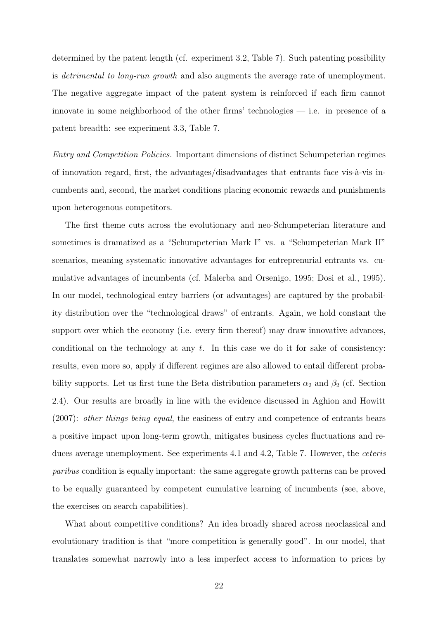determined by the patent length (cf. experiment 3.2, Table 7). Such patenting possibility is detrimental to long-run growth and also augments the average rate of unemployment. The negative aggregate impact of the patent system is reinforced if each firm cannot innovate in some neighborhood of the other firms' technologies  $-$  i.e. in presence of a patent breadth: see experiment 3.3, Table 7.

Entry and Competition Policies. Important dimensions of distinct Schumpeterian regimes of innovation regard, first, the advantages/disadvantages that entrants face vis- $\hat{a}$ -vis incumbents and, second, the market conditions placing economic rewards and punishments upon heterogenous competitors.

The first theme cuts across the evolutionary and neo-Schumpeterian literature and sometimes is dramatized as a "Schumpeterian Mark I" vs. a "Schumpeterian Mark II" scenarios, meaning systematic innovative advantages for entreprenurial entrants vs. cumulative advantages of incumbents (cf. Malerba and Orsenigo, 1995; Dosi et al., 1995). In our model, technological entry barriers (or advantages) are captured by the probability distribution over the "technological draws" of entrants. Again, we hold constant the support over which the economy (i.e. every firm thereof) may draw innovative advances, conditional on the technology at any  $t$ . In this case we do it for sake of consistency: results, even more so, apply if different regimes are also allowed to entail different probability supports. Let us first tune the Beta distribution parameters  $\alpha_2$  and  $\beta_2$  (cf. Section 2.4). Our results are broadly in line with the evidence discussed in Aghion and Howitt (2007): other things being equal, the easiness of entry and competence of entrants bears a positive impact upon long-term growth, mitigates business cycles fluctuations and reduces average unemployment. See experiments 4.1 and 4.2, Table 7. However, the ceteris paribus condition is equally important: the same aggregate growth patterns can be proved to be equally guaranteed by competent cumulative learning of incumbents (see, above, the exercises on search capabilities).

What about competitive conditions? An idea broadly shared across neoclassical and evolutionary tradition is that "more competition is generally good". In our model, that translates somewhat narrowly into a less imperfect access to information to prices by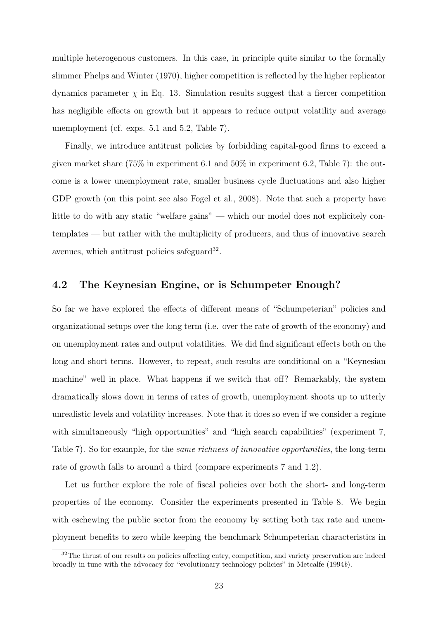multiple heterogenous customers. In this case, in principle quite similar to the formally slimmer Phelps and Winter (1970), higher competition is reflected by the higher replicator dynamics parameter  $\chi$  in Eq. 13. Simulation results suggest that a fiercer competition has negligible effects on growth but it appears to reduce output volatility and average unemployment (cf. exps. 5.1 and 5.2, Table 7).

Finally, we introduce antitrust policies by forbidding capital-good firms to exceed a given market share (75% in experiment 6.1 and 50% in experiment 6.2, Table 7): the outcome is a lower unemployment rate, smaller business cycle fluctuations and also higher GDP growth (on this point see also Fogel et al., 2008). Note that such a property have little to do with any static "welfare gains" — which our model does not explicitely contemplates — but rather with the multiplicity of producers, and thus of innovative search avenues, which antitrust policies safeguard<sup>32</sup>.

#### 4.2 The Keynesian Engine, or is Schumpeter Enough?

So far we have explored the effects of different means of "Schumpeterian" policies and organizational setups over the long term (i.e. over the rate of growth of the economy) and on unemployment rates and output volatilities. We did find significant effects both on the long and short terms. However, to repeat, such results are conditional on a "Keynesian machine" well in place. What happens if we switch that off? Remarkably, the system dramatically slows down in terms of rates of growth, unemployment shoots up to utterly unrealistic levels and volatility increases. Note that it does so even if we consider a regime with simultaneously "high opportunities" and "high search capabilities" (experiment 7, Table 7). So for example, for the *same richness of innovative opportunities*, the long-term rate of growth falls to around a third (compare experiments 7 and 1.2).

Let us further explore the role of fiscal policies over both the short- and long-term properties of the economy. Consider the experiments presented in Table 8. We begin with eschewing the public sector from the economy by setting both tax rate and unemployment benefits to zero while keeping the benchmark Schumpeterian characteristics in

<sup>&</sup>lt;sup>32</sup>The thrust of our results on policies affecting entry, competition, and variety preservation are indeed broadly in tune with the advocacy for "evolutionary technology policies" in Metcalfe (1994b).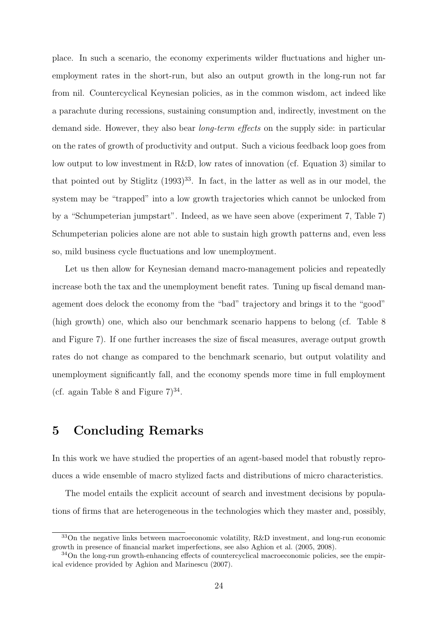place. In such a scenario, the economy experiments wilder fluctuations and higher unemployment rates in the short-run, but also an output growth in the long-run not far from nil. Countercyclical Keynesian policies, as in the common wisdom, act indeed like a parachute during recessions, sustaining consumption and, indirectly, investment on the demand side. However, they also bear long-term effects on the supply side: in particular on the rates of growth of productivity and output. Such a vicious feedback loop goes from low output to low investment in R&D, low rates of innovation (cf. Equation 3) similar to that pointed out by Stiglitz  $(1993)^{33}$ . In fact, in the latter as well as in our model, the system may be "trapped" into a low growth trajectories which cannot be unlocked from by a "Schumpeterian jumpstart". Indeed, as we have seen above (experiment 7, Table 7) Schumpeterian policies alone are not able to sustain high growth patterns and, even less so, mild business cycle fluctuations and low unemployment.

Let us then allow for Keynesian demand macro-management policies and repeatedly increase both the tax and the unemployment benefit rates. Tuning up fiscal demand management does delock the economy from the "bad" trajectory and brings it to the "good" (high growth) one, which also our benchmark scenario happens to belong (cf. Table 8 and Figure 7). If one further increases the size of fiscal measures, average output growth rates do not change as compared to the benchmark scenario, but output volatility and unemployment significantly fall, and the economy spends more time in full employment (cf. again Table 8 and Figure  $7)^{34}$ .

## 5 Concluding Remarks

In this work we have studied the properties of an agent-based model that robustly reproduces a wide ensemble of macro stylized facts and distributions of micro characteristics.

The model entails the explicit account of search and investment decisions by populations of firms that are heterogeneous in the technologies which they master and, possibly,

<sup>33</sup>On the negative links between macroeconomic volatility, R&D investment, and long-run economic growth in presence of financial market imperfections, see also Aghion et al. (2005, 2008).

<sup>&</sup>lt;sup>34</sup>On the long-run growth-enhancing effects of countercyclical macroeconomic policies, see the empirical evidence provided by Aghion and Marinescu (2007).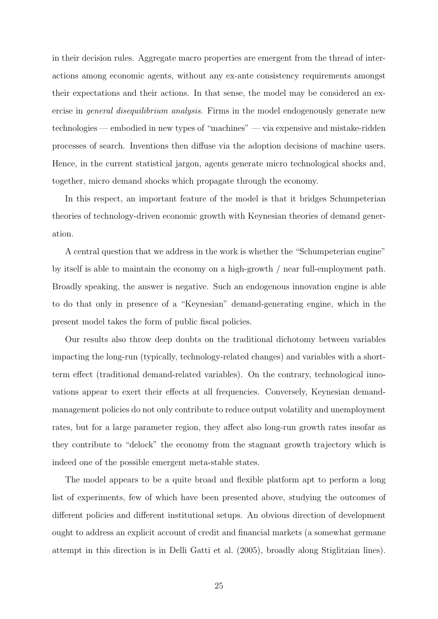in their decision rules. Aggregate macro properties are emergent from the thread of interactions among economic agents, without any ex-ante consistency requirements amongst their expectations and their actions. In that sense, the model may be considered an exercise in *general disequilibrium analysis*. Firms in the model endogenously generate new technologies — embodied in new types of "machines" — via expensive and mistake-ridden processes of search. Inventions then diffuse via the adoption decisions of machine users. Hence, in the current statistical jargon, agents generate micro technological shocks and, together, micro demand shocks which propagate through the economy.

In this respect, an important feature of the model is that it bridges Schumpeterian theories of technology-driven economic growth with Keynesian theories of demand generation.

A central question that we address in the work is whether the "Schumpeterian engine" by itself is able to maintain the economy on a high-growth / near full-employment path. Broadly speaking, the answer is negative. Such an endogenous innovation engine is able to do that only in presence of a "Keynesian" demand-generating engine, which in the present model takes the form of public fiscal policies.

Our results also throw deep doubts on the traditional dichotomy between variables impacting the long-run (typically, technology-related changes) and variables with a shortterm effect (traditional demand-related variables). On the contrary, technological innovations appear to exert their effects at all frequencies. Conversely, Keynesian demandmanagement policies do not only contribute to reduce output volatility and unemployment rates, but for a large parameter region, they affect also long-run growth rates insofar as they contribute to "delock" the economy from the stagnant growth trajectory which is indeed one of the possible emergent meta-stable states.

The model appears to be a quite broad and flexible platform apt to perform a long list of experiments, few of which have been presented above, studying the outcomes of different policies and different institutional setups. An obvious direction of development ought to address an explicit account of credit and financial markets (a somewhat germane attempt in this direction is in Delli Gatti et al. (2005), broadly along Stiglitzian lines).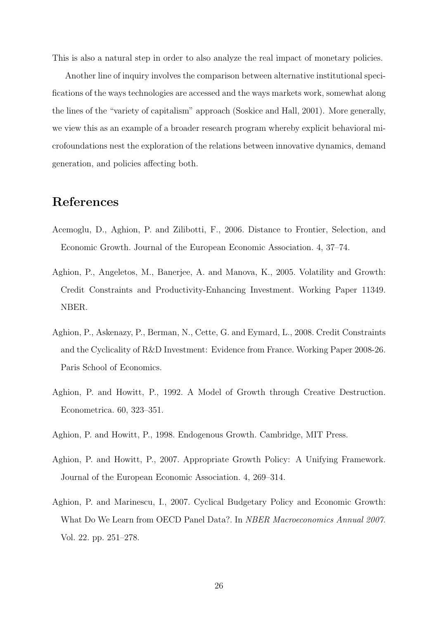This is also a natural step in order to also analyze the real impact of monetary policies.

Another line of inquiry involves the comparison between alternative institutional specifications of the ways technologies are accessed and the ways markets work, somewhat along the lines of the "variety of capitalism" approach (Soskice and Hall, 2001). More generally, we view this as an example of a broader research program whereby explicit behavioral microfoundations nest the exploration of the relations between innovative dynamics, demand generation, and policies affecting both.

## References

- Acemoglu, D., Aghion, P. and Zilibotti, F., 2006. Distance to Frontier, Selection, and Economic Growth. Journal of the European Economic Association. 4, 37–74.
- Aghion, P., Angeletos, M., Banerjee, A. and Manova, K., 2005. Volatility and Growth: Credit Constraints and Productivity-Enhancing Investment. Working Paper 11349. NBER.
- Aghion, P., Askenazy, P., Berman, N., Cette, G. and Eymard, L., 2008. Credit Constraints and the Cyclicality of R&D Investment: Evidence from France. Working Paper 2008-26. Paris School of Economics.
- Aghion, P. and Howitt, P., 1992. A Model of Growth through Creative Destruction. Econometrica. 60, 323–351.
- Aghion, P. and Howitt, P., 1998. Endogenous Growth. Cambridge, MIT Press.
- Aghion, P. and Howitt, P., 2007. Appropriate Growth Policy: A Unifying Framework. Journal of the European Economic Association. 4, 269–314.
- Aghion, P. and Marinescu, I., 2007. Cyclical Budgetary Policy and Economic Growth: What Do We Learn from OECD Panel Data?. In *NBER Macroeconomics Annual 2007*. Vol. 22. pp. 251–278.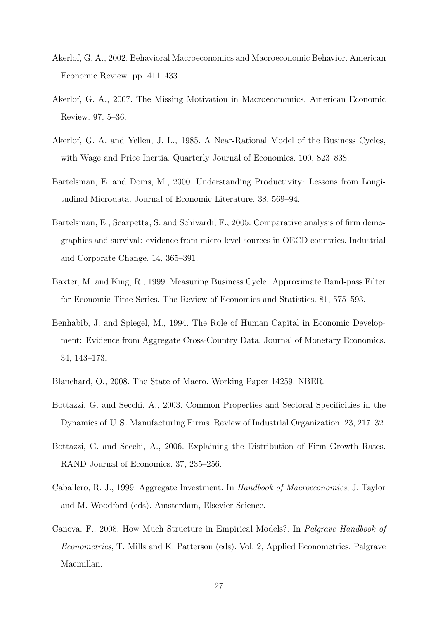- Akerlof, G. A., 2002. Behavioral Macroeconomics and Macroeconomic Behavior. American Economic Review. pp. 411–433.
- Akerlof, G. A., 2007. The Missing Motivation in Macroeconomics. American Economic Review. 97, 5–36.
- Akerlof, G. A. and Yellen, J. L., 1985. A Near-Rational Model of the Business Cycles, with Wage and Price Inertia. Quarterly Journal of Economics. 100, 823–838.
- Bartelsman, E. and Doms, M., 2000. Understanding Productivity: Lessons from Longitudinal Microdata. Journal of Economic Literature. 38, 569–94.
- Bartelsman, E., Scarpetta, S. and Schivardi, F., 2005. Comparative analysis of firm demographics and survival: evidence from micro-level sources in OECD countries. Industrial and Corporate Change. 14, 365–391.
- Baxter, M. and King, R., 1999. Measuring Business Cycle: Approximate Band-pass Filter for Economic Time Series. The Review of Economics and Statistics. 81, 575–593.
- Benhabib, J. and Spiegel, M., 1994. The Role of Human Capital in Economic Development: Evidence from Aggregate Cross-Country Data. Journal of Monetary Economics. 34, 143–173.
- Blanchard, O., 2008. The State of Macro. Working Paper 14259. NBER.
- Bottazzi, G. and Secchi, A., 2003. Common Properties and Sectoral Specificities in the Dynamics of U.S. Manufacturing Firms. Review of Industrial Organization. 23, 217–32.
- Bottazzi, G. and Secchi, A., 2006. Explaining the Distribution of Firm Growth Rates. RAND Journal of Economics. 37, 235–256.
- Caballero, R. J., 1999. Aggregate Investment. In Handbook of Macroeconomics, J. Taylor and M. Woodford (eds). Amsterdam, Elsevier Science.
- Canova, F., 2008. How Much Structure in Empirical Models?. In Palgrave Handbook of Econometrics, T. Mills and K. Patterson (eds). Vol. 2, Applied Econometrics. Palgrave Macmillan.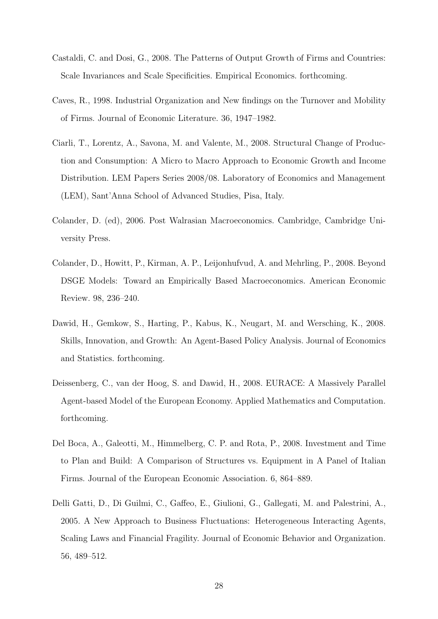- Castaldi, C. and Dosi, G., 2008. The Patterns of Output Growth of Firms and Countries: Scale Invariances and Scale Specificities. Empirical Economics. forthcoming.
- Caves, R., 1998. Industrial Organization and New findings on the Turnover and Mobility of Firms. Journal of Economic Literature. 36, 1947–1982.
- Ciarli, T., Lorentz, A., Savona, M. and Valente, M., 2008. Structural Change of Production and Consumption: A Micro to Macro Approach to Economic Growth and Income Distribution. LEM Papers Series 2008/08. Laboratory of Economics and Management (LEM), Sant'Anna School of Advanced Studies, Pisa, Italy.
- Colander, D. (ed), 2006. Post Walrasian Macroeconomics. Cambridge, Cambridge University Press.
- Colander, D., Howitt, P., Kirman, A. P., Leijonhufvud, A. and Mehrling, P., 2008. Beyond DSGE Models: Toward an Empirically Based Macroeconomics. American Economic Review. 98, 236–240.
- Dawid, H., Gemkow, S., Harting, P., Kabus, K., Neugart, M. and Wersching, K., 2008. Skills, Innovation, and Growth: An Agent-Based Policy Analysis. Journal of Economics and Statistics. forthcoming.
- Deissenberg, C., van der Hoog, S. and Dawid, H., 2008. EURACE: A Massively Parallel Agent-based Model of the European Economy. Applied Mathematics and Computation. forthcoming.
- Del Boca, A., Galeotti, M., Himmelberg, C. P. and Rota, P., 2008. Investment and Time to Plan and Build: A Comparison of Structures vs. Equipment in A Panel of Italian Firms. Journal of the European Economic Association. 6, 864–889.
- Delli Gatti, D., Di Guilmi, C., Gaffeo, E., Giulioni, G., Gallegati, M. and Palestrini, A., 2005. A New Approach to Business Fluctuations: Heterogeneous Interacting Agents, Scaling Laws and Financial Fragility. Journal of Economic Behavior and Organization. 56, 489–512.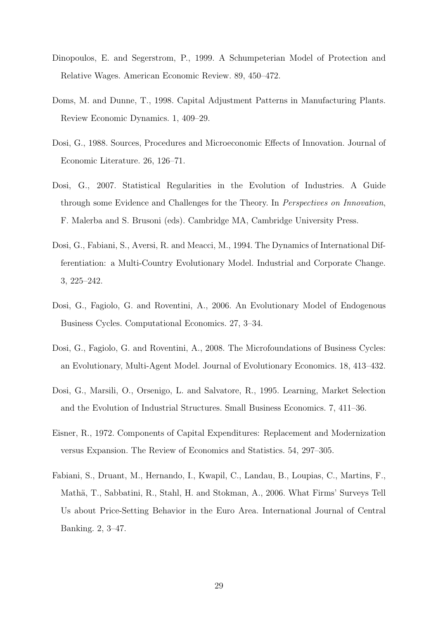- Dinopoulos, E. and Segerstrom, P., 1999. A Schumpeterian Model of Protection and Relative Wages. American Economic Review. 89, 450–472.
- Doms, M. and Dunne, T., 1998. Capital Adjustment Patterns in Manufacturing Plants. Review Economic Dynamics. 1, 409–29.
- Dosi, G., 1988. Sources, Procedures and Microeconomic Effects of Innovation. Journal of Economic Literature. 26, 126–71.
- Dosi, G., 2007. Statistical Regularities in the Evolution of Industries. A Guide through some Evidence and Challenges for the Theory. In Perspectives on Innovation, F. Malerba and S. Brusoni (eds). Cambridge MA, Cambridge University Press.
- Dosi, G., Fabiani, S., Aversi, R. and Meacci, M., 1994. The Dynamics of International Differentiation: a Multi-Country Evolutionary Model. Industrial and Corporate Change. 3, 225–242.
- Dosi, G., Fagiolo, G. and Roventini, A., 2006. An Evolutionary Model of Endogenous Business Cycles. Computational Economics. 27, 3–34.
- Dosi, G., Fagiolo, G. and Roventini, A., 2008. The Microfoundations of Business Cycles: an Evolutionary, Multi-Agent Model. Journal of Evolutionary Economics. 18, 413–432.
- Dosi, G., Marsili, O., Orsenigo, L. and Salvatore, R., 1995. Learning, Market Selection and the Evolution of Industrial Structures. Small Business Economics. 7, 411–36.
- Eisner, R., 1972. Components of Capital Expenditures: Replacement and Modernization versus Expansion. The Review of Economics and Statistics. 54, 297–305.
- Fabiani, S., Druant, M., Hernando, I., Kwapil, C., Landau, B., Loupias, C., Martins, F., Mathä, T., Sabbatini, R., Stahl, H. and Stokman, A., 2006. What Firms' Surveys Tell Us about Price-Setting Behavior in the Euro Area. International Journal of Central Banking. 2, 3–47.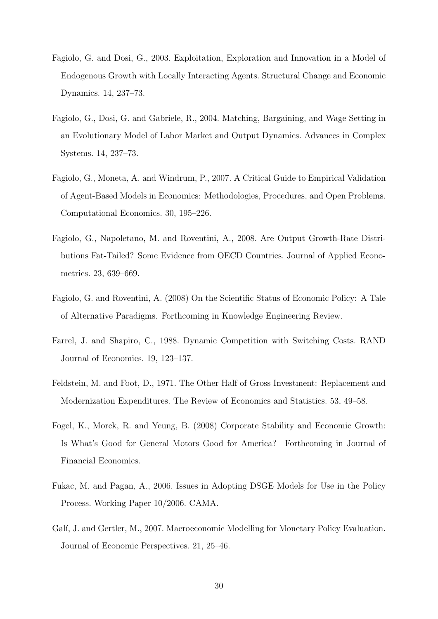- Fagiolo, G. and Dosi, G., 2003. Exploitation, Exploration and Innovation in a Model of Endogenous Growth with Locally Interacting Agents. Structural Change and Economic Dynamics. 14, 237–73.
- Fagiolo, G., Dosi, G. and Gabriele, R., 2004. Matching, Bargaining, and Wage Setting in an Evolutionary Model of Labor Market and Output Dynamics. Advances in Complex Systems. 14, 237–73.
- Fagiolo, G., Moneta, A. and Windrum, P., 2007. A Critical Guide to Empirical Validation of Agent-Based Models in Economics: Methodologies, Procedures, and Open Problems. Computational Economics. 30, 195–226.
- Fagiolo, G., Napoletano, M. and Roventini, A., 2008. Are Output Growth-Rate Distributions Fat-Tailed? Some Evidence from OECD Countries. Journal of Applied Econometrics. 23, 639–669.
- Fagiolo, G. and Roventini, A. (2008) On the Scientific Status of Economic Policy: A Tale of Alternative Paradigms. Forthcoming in Knowledge Engineering Review.
- Farrel, J. and Shapiro, C., 1988. Dynamic Competition with Switching Costs. RAND Journal of Economics. 19, 123–137.
- Feldstein, M. and Foot, D., 1971. The Other Half of Gross Investment: Replacement and Modernization Expenditures. The Review of Economics and Statistics. 53, 49–58.
- Fogel, K., Morck, R. and Yeung, B. (2008) Corporate Stability and Economic Growth: Is What's Good for General Motors Good for America? Forthcoming in Journal of Financial Economics.
- Fukac, M. and Pagan, A., 2006. Issues in Adopting DSGE Models for Use in the Policy Process. Working Paper 10/2006. CAMA.
- Galí, J. and Gertler, M., 2007. Macroeconomic Modelling for Monetary Policy Evaluation. Journal of Economic Perspectives. 21, 25–46.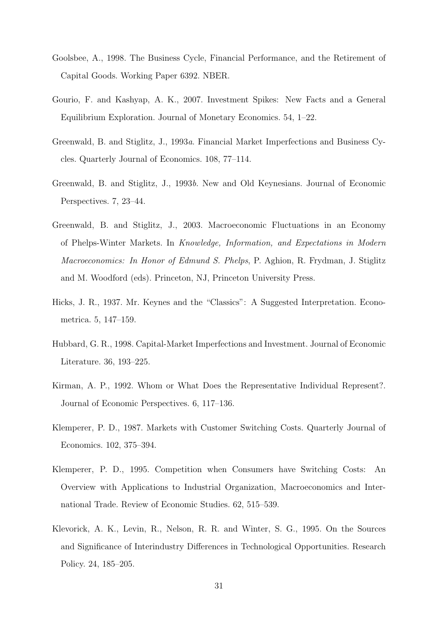- Goolsbee, A., 1998. The Business Cycle, Financial Performance, and the Retirement of Capital Goods. Working Paper 6392. NBER.
- Gourio, F. and Kashyap, A. K., 2007. Investment Spikes: New Facts and a General Equilibrium Exploration. Journal of Monetary Economics. 54, 1–22.
- Greenwald, B. and Stiglitz, J., 1993a. Financial Market Imperfections and Business Cycles. Quarterly Journal of Economics. 108, 77–114.
- Greenwald, B. and Stiglitz, J., 1993b. New and Old Keynesians. Journal of Economic Perspectives. 7, 23–44.
- Greenwald, B. and Stiglitz, J., 2003. Macroeconomic Fluctuations in an Economy of Phelps-Winter Markets. In Knowledge, Information, and Expectations in Modern Macroeconomics: In Honor of Edmund S. Phelps, P. Aghion, R. Frydman, J. Stiglitz and M. Woodford (eds). Princeton, NJ, Princeton University Press.
- Hicks, J. R., 1937. Mr. Keynes and the "Classics": A Suggested Interpretation. Econometrica. 5, 147–159.
- Hubbard, G. R., 1998. Capital-Market Imperfections and Investment. Journal of Economic Literature. 36, 193–225.
- Kirman, A. P., 1992. Whom or What Does the Representative Individual Represent?. Journal of Economic Perspectives. 6, 117–136.
- Klemperer, P. D., 1987. Markets with Customer Switching Costs. Quarterly Journal of Economics. 102, 375–394.
- Klemperer, P. D., 1995. Competition when Consumers have Switching Costs: An Overview with Applications to Industrial Organization, Macroeconomics and International Trade. Review of Economic Studies. 62, 515–539.
- Klevorick, A. K., Levin, R., Nelson, R. R. and Winter, S. G., 1995. On the Sources and Significance of Interindustry Differences in Technological Opportunities. Research Policy. 24, 185–205.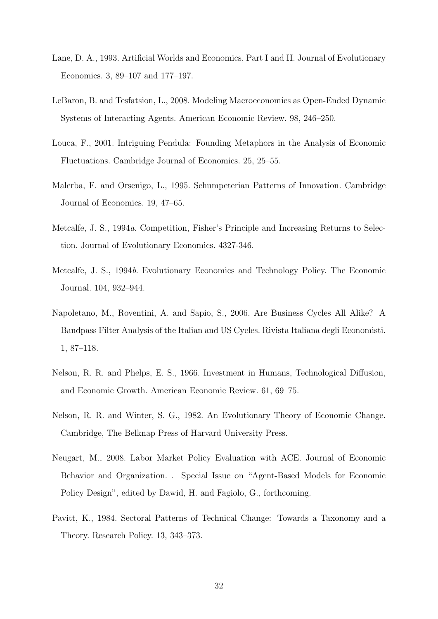- Lane, D. A., 1993. Artificial Worlds and Economics, Part I and II. Journal of Evolutionary Economics. 3, 89–107 and 177–197.
- LeBaron, B. and Tesfatsion, L., 2008. Modeling Macroeconomies as Open-Ended Dynamic Systems of Interacting Agents. American Economic Review. 98, 246–250.
- Louca, F., 2001. Intriguing Pendula: Founding Metaphors in the Analysis of Economic Fluctuations. Cambridge Journal of Economics. 25, 25–55.
- Malerba, F. and Orsenigo, L., 1995. Schumpeterian Patterns of Innovation. Cambridge Journal of Economics. 19, 47–65.
- Metcalfe, J. S., 1994a. Competition, Fisher's Principle and Increasing Returns to Selection. Journal of Evolutionary Economics. 4327-346.
- Metcalfe, J. S., 1994b. Evolutionary Economics and Technology Policy. The Economic Journal. 104, 932–944.
- Napoletano, M., Roventini, A. and Sapio, S., 2006. Are Business Cycles All Alike? A Bandpass Filter Analysis of the Italian and US Cycles. Rivista Italiana degli Economisti. 1, 87–118.
- Nelson, R. R. and Phelps, E. S., 1966. Investment in Humans, Technological Diffusion, and Economic Growth. American Economic Review. 61, 69–75.
- Nelson, R. R. and Winter, S. G., 1982. An Evolutionary Theory of Economic Change. Cambridge, The Belknap Press of Harvard University Press.
- Neugart, M., 2008. Labor Market Policy Evaluation with ACE. Journal of Economic Behavior and Organization. . Special Issue on "Agent-Based Models for Economic Policy Design", edited by Dawid, H. and Fagiolo, G., forthcoming.
- Pavitt, K., 1984. Sectoral Patterns of Technical Change: Towards a Taxonomy and a Theory. Research Policy. 13, 343–373.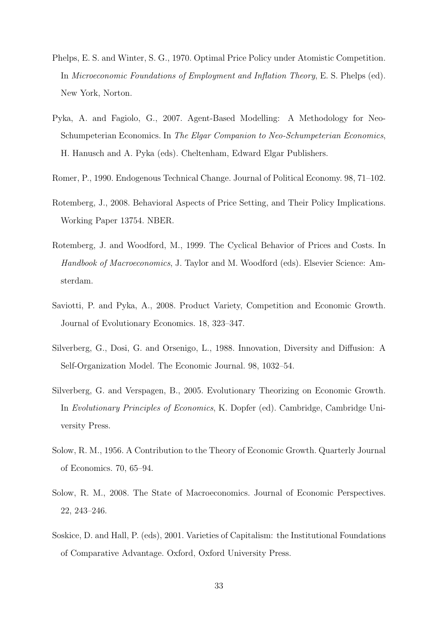- Phelps, E. S. and Winter, S. G., 1970. Optimal Price Policy under Atomistic Competition. In Microeconomic Foundations of Employment and Inflation Theory, E. S. Phelps (ed). New York, Norton.
- Pyka, A. and Fagiolo, G., 2007. Agent-Based Modelling: A Methodology for Neo-Schumpeterian Economics. In The Elgar Companion to Neo-Schumpeterian Economics, H. Hanusch and A. Pyka (eds). Cheltenham, Edward Elgar Publishers.
- Romer, P., 1990. Endogenous Technical Change. Journal of Political Economy. 98, 71–102.
- Rotemberg, J., 2008. Behavioral Aspects of Price Setting, and Their Policy Implications. Working Paper 13754. NBER.
- Rotemberg, J. and Woodford, M., 1999. The Cyclical Behavior of Prices and Costs. In Handbook of Macroeconomics, J. Taylor and M. Woodford (eds). Elsevier Science: Amsterdam.
- Saviotti, P. and Pyka, A., 2008. Product Variety, Competition and Economic Growth. Journal of Evolutionary Economics. 18, 323–347.
- Silverberg, G., Dosi, G. and Orsenigo, L., 1988. Innovation, Diversity and Diffusion: A Self-Organization Model. The Economic Journal. 98, 1032–54.
- Silverberg, G. and Verspagen, B., 2005. Evolutionary Theorizing on Economic Growth. In Evolutionary Principles of Economics, K. Dopfer (ed). Cambridge, Cambridge University Press.
- Solow, R. M., 1956. A Contribution to the Theory of Economic Growth. Quarterly Journal of Economics. 70, 65–94.
- Solow, R. M., 2008. The State of Macroeconomics. Journal of Economic Perspectives. 22, 243–246.
- Soskice, D. and Hall, P. (eds), 2001. Varieties of Capitalism: the Institutional Foundations of Comparative Advantage. Oxford, Oxford University Press.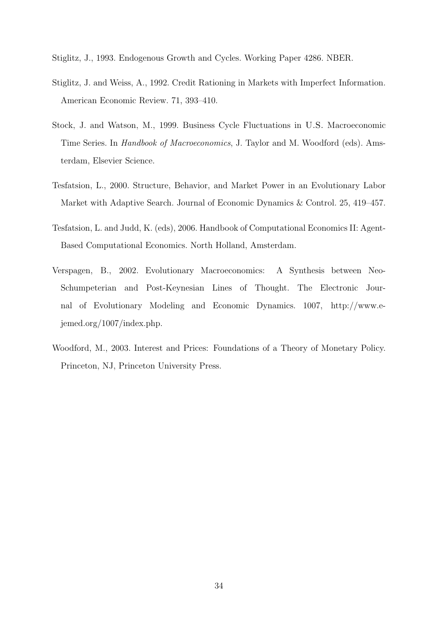Stiglitz, J., 1993. Endogenous Growth and Cycles. Working Paper 4286. NBER.

- Stiglitz, J. and Weiss, A., 1992. Credit Rationing in Markets with Imperfect Information. American Economic Review. 71, 393–410.
- Stock, J. and Watson, M., 1999. Business Cycle Fluctuations in U.S. Macroeconomic Time Series. In Handbook of Macroeconomics, J. Taylor and M. Woodford (eds). Amsterdam, Elsevier Science.
- Tesfatsion, L., 2000. Structure, Behavior, and Market Power in an Evolutionary Labor Market with Adaptive Search. Journal of Economic Dynamics & Control. 25, 419–457.
- Tesfatsion, L. and Judd, K. (eds), 2006. Handbook of Computational Economics II: Agent-Based Computational Economics. North Holland, Amsterdam.
- Verspagen, B., 2002. Evolutionary Macroeconomics: A Synthesis between Neo-Schumpeterian and Post-Keynesian Lines of Thought. The Electronic Journal of Evolutionary Modeling and Economic Dynamics. 1007, http://www.ejemed.org/1007/index.php.
- Woodford, M., 2003. Interest and Prices: Foundations of a Theory of Monetary Policy. Princeton, NJ, Princeton University Press.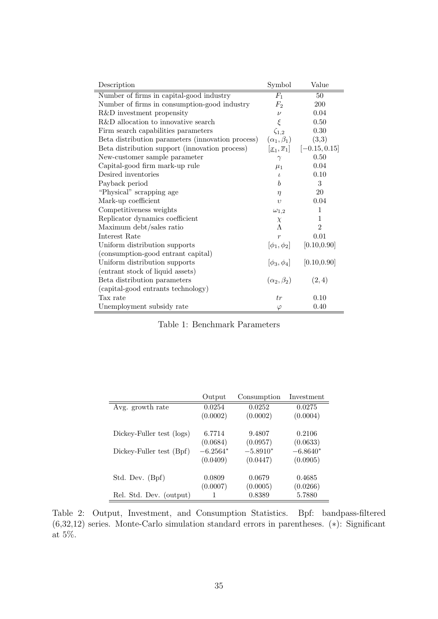| Description                                       | Symbol                             | Value           |
|---------------------------------------------------|------------------------------------|-----------------|
| Number of firms in capital-good industry          | $F_1$                              | 50              |
| Number of firms in consumption-good industry      | $F_2$                              | 200             |
| R&D investment propensity                         | $\nu$                              | 0.04            |
| R&D allocation to innovative search               | $\xi$                              | 0.50            |
| Firm search capabilities parameters               | $\zeta_{1,2}$                      | 0.30            |
| Beta distribution parameters (innovation process) | $(\alpha_1,\beta_1)$               | (3,3)           |
| Beta distribution support (innovation process)    | $[\underline{x}_1,\overline{x}_1]$ | $[-0.15, 0.15]$ |
| New-customer sample parameter                     | $\gamma$                           | 0.50            |
| Capital-good firm mark-up rule                    | $\mu_1$                            | 0.04            |
| Desired inventories                               | ı                                  | 0.10            |
| Payback period                                    | h                                  | 3               |
| "Physical" scrapping age                          | $\eta$                             | 20              |
| Mark-up coefficient                               | $\eta$                             | 0.04            |
| Competitiveness weights                           | $\omega_{1,2}$                     | 1               |
| Replicator dynamics coefficient                   | $\chi$                             | 1               |
| Maximum debt/sales ratio                          | A                                  | $\overline{2}$  |
| Interest Rate                                     | $\overline{r}$                     | 0.01            |
| Uniform distribution supports                     | $[\phi_1,\phi_2]$                  | [0.10, 0.90]    |
| (consumption-good entrant capital)                |                                    |                 |
| Uniform distribution supports                     | $[\phi_3, \phi_4]$                 | [0.10, 0.90]    |
| (entrant stock of liquid assets)                  |                                    |                 |
| Beta distribution parameters                      | $(\alpha_2,\beta_2)$               | (2,4)           |
| (capital-good entrants technology)                |                                    |                 |
| Tax rate                                          | tr                                 | 0.10            |
| Unemployment subsidy rate                         | $\varphi$                          | 0.40            |

Table 1: Benchmark Parameters

|                           | Output     | Consumption | Investment |
|---------------------------|------------|-------------|------------|
| Avg. growth rate          | 0.0254     | 0.0252      | 0.0275     |
|                           | (0.0002)   | (0.0002)    | (0.0004)   |
|                           |            |             |            |
| Dickey-Fuller test (logs) | 6.7714     | 9.4807      | 0.2106     |
|                           | (0.0684)   | (0.0957)    | (0.0633)   |
| Dickey-Fuller test (Bpf)  | $-6.2564*$ | $-5.8910*$  | $-6.8640*$ |
|                           | (0.0409)   | (0.0447)    | (0.0905)   |
| Std. Dev. (Bpf)           | 0.0809     | 0.0679      | 0.4685     |
|                           |            |             |            |
|                           | (0.0007)   | (0.0005)    | (0.0266)   |
| Rel. Std. Dev. (output)   |            | 0.8389      | 5.7880     |

Table 2: Output, Investment, and Consumption Statistics. Bpf: bandpass-filtered (6,32,12) series. Monte-Carlo simulation standard errors in parentheses. (∗): Significant at 5%.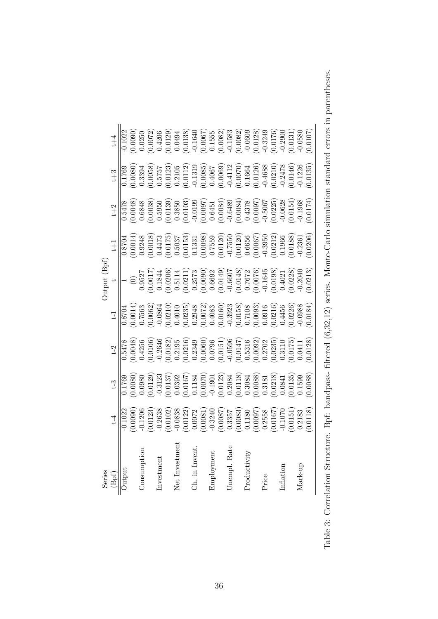| Series                              |                                                                                                                                                                                                                                                                                                                           |                                                                                                                                                                                                                                                                                                                           |                                                                                                                                                                                                                                                                                                                             |                                                                                                                                                                                                                                                                                                                                  | utput (Bpf |                                                                                                                                                                                                                                                                                             |                                                                                                                                                                                                                                                                                                                 |                                                                                                                                                                                                                                                                                             |                                                                                                                                                                                                                                                                                             |
|-------------------------------------|---------------------------------------------------------------------------------------------------------------------------------------------------------------------------------------------------------------------------------------------------------------------------------------------------------------------------|---------------------------------------------------------------------------------------------------------------------------------------------------------------------------------------------------------------------------------------------------------------------------------------------------------------------------|-----------------------------------------------------------------------------------------------------------------------------------------------------------------------------------------------------------------------------------------------------------------------------------------------------------------------------|----------------------------------------------------------------------------------------------------------------------------------------------------------------------------------------------------------------------------------------------------------------------------------------------------------------------------------|------------|---------------------------------------------------------------------------------------------------------------------------------------------------------------------------------------------------------------------------------------------------------------------------------------------|-----------------------------------------------------------------------------------------------------------------------------------------------------------------------------------------------------------------------------------------------------------------------------------------------------------------|---------------------------------------------------------------------------------------------------------------------------------------------------------------------------------------------------------------------------------------------------------------------------------------------|---------------------------------------------------------------------------------------------------------------------------------------------------------------------------------------------------------------------------------------------------------------------------------------------|
| $\frac{(\text{Bpf})}{(\text{Bpf})}$ |                                                                                                                                                                                                                                                                                                                           |                                                                                                                                                                                                                                                                                                                           |                                                                                                                                                                                                                                                                                                                             |                                                                                                                                                                                                                                                                                                                                  |            | $t+1$                                                                                                                                                                                                                                                                                       | $t+2$                                                                                                                                                                                                                                                                                                           | $t+3$                                                                                                                                                                                                                                                                                       | $t+4$                                                                                                                                                                                                                                                                                       |
| $\frac{d}{dt}$ output               | $\begin{array}{r} +4 \\ -101022 \\ -01206 \\ -0.1206 \\ -0.2638 \\ -0.0030 \\ -0.0033 \\ -0.0033 \\ -0.0033 \\ -0.0033 \\ -0.0031 \\ -0.0031 \\ -0.0037 \\ -0.0037 \\ -0.0037 \\ -0.0033 \\ -0.0033 \\ -0.0037 \\ -0.0033 \\ -0.0033 \\ -0.0037 \\ -0.0033 \\ -0.0033 \\ -0.0033 \\ -0.0033 \\ -0.0033 \\ -0.0033 \\ -0.$ | $\begin{array}{r} +3 \\ -1769 \\ -1769 \\ -0.0080 \\ -0.0129 \\ -0.0137 \\ -0.0137 \\ -0.0030 \\ -0.0039 \\ -0.0000 \\ -0.0000 \\ -0.0000 \\ -0.0000 \\ -0.0000 \\ -0.0000 \\ -0.0000 \\ -0.0000 \\ -0.0000 \\ -0.0000 \\ -0.0000 \\ -0.0000 \\ -0.0000 \\ -0.0000 \\ -0.0000 \\ -0.0000 \\ -0.0000 \\ -0.0000 \\ -0.000$ | $\begin{array}{r} +2 \\ +2 \\ \hline 0.5478 \\ -0.0048 \\ 0.0106 \\ -0.2646 \\ -0.2349 \\ -0.0182 \\ -0.0182 \\ -0.0182 \\ -0.0060 \\ -0.0151 \\ -0.0096 \\ -0.0000 \\ -0.0000 \\ -0.0000 \\ -0.0000 \\ -0.0000 \\ -0.0000 \\ -0.0000 \\ -0.0000 \\ -0.0000 \\ -0.0000 \\ -0.0017 \\ -0.0000 \\ -0.0000 \\ -0.0017 \\ -0.0$ | $\begin{array}{r} +1 \\ \hline +1 \\ \hline 0.8704 \\ -0.0014 \\ -0.0062 \\ -0.0003 \\ -0.0003 \\ -0.0003 \\ -0.0003 \\ -0.0003 \\ -0.0007 \\ -0.0003 \\ -0.0003 \\ -0.0003 \\ -0.0003 \\ -0.0003 \\ -0.0003 \\ -0.0003 \\ -0.0003 \\ -0.0004 \\ -0.0003 \\ -0.0004 \\ -0.0004 \\ -0.0004 \\ -0.0004 \\ -0.0004 \\ -0.0004 \\ -$ |            |                                                                                                                                                                                                                                                                                             | $\begin{array}{l} \hline 0.5478 \\[-4pt] 0.048) \\[-4pt] 0.0048 \\[-4pt] 0.0038) \\[-4pt] 0.0038) \\[-4pt] 0.0039 \\[-4pt] 0.0103 \\[-4pt] 0.0037 \\[-4pt] 0.0037 \\[-4pt] 0.0047 \\[-4pt] 0.0047 \\[-4pt] 0.0047 \\[-4pt] 0.0037 \\[-4pt] 0.0037 \\[-4pt] 0.0037 \\[-4pt] 0.0037 \\[-4pt] 0.0037 \\[-4pt] 0.0$ | $\begin{array}{l} \hline 0.1769 \\ 0.0080) \\ 0.0058) \\ 0.0058) \\ 0.0123 \\ 0.0112) \\ 0.0112) \\ 0.0085) \\ 0.0069) \\ 0.0069 \\ 0.0069) \\ 0.0069 \\ 0.0069) \\ 0.0069 \\ 0.0069 \\ 0.0070) \\ 0.0088 \\ 0.0126 \\ 0.0140) \\ 0.01400 \\ 0.0140) \\ 0.01400 \\ 0.00140) \\ 0.01400 \\ $ | $\begin{array}{l} 1.1022 \\ 0.0090 \\ 0.0072 \\ 0.0125 \\ 0.0129 \\ 0.0139 \\ 0.0138 \\ 0.0000 \\ 0.0000 \\ 0.0000 \\ 0.0000 \\ 0.0000 \\ 0.0000 \\ 0.0000 \\ 0.0000 \\ 0.0000 \\ 0.0000 \\ 0.0000 \\ 0.0000 \\ 0.0000 \\ 0.0000 \\ 0.0000 \\ 0.0000 \\ 0.0000 \\ 0.0000 \\ 0.0000 \\ 0.00$ |
|                                     |                                                                                                                                                                                                                                                                                                                           |                                                                                                                                                                                                                                                                                                                           |                                                                                                                                                                                                                                                                                                                             |                                                                                                                                                                                                                                                                                                                                  |            |                                                                                                                                                                                                                                                                                             |                                                                                                                                                                                                                                                                                                                 |                                                                                                                                                                                                                                                                                             |                                                                                                                                                                                                                                                                                             |
| Jonsumption                         |                                                                                                                                                                                                                                                                                                                           |                                                                                                                                                                                                                                                                                                                           |                                                                                                                                                                                                                                                                                                                             |                                                                                                                                                                                                                                                                                                                                  |            |                                                                                                                                                                                                                                                                                             |                                                                                                                                                                                                                                                                                                                 |                                                                                                                                                                                                                                                                                             |                                                                                                                                                                                                                                                                                             |
|                                     |                                                                                                                                                                                                                                                                                                                           |                                                                                                                                                                                                                                                                                                                           |                                                                                                                                                                                                                                                                                                                             |                                                                                                                                                                                                                                                                                                                                  |            |                                                                                                                                                                                                                                                                                             |                                                                                                                                                                                                                                                                                                                 |                                                                                                                                                                                                                                                                                             |                                                                                                                                                                                                                                                                                             |
| nvestment                           |                                                                                                                                                                                                                                                                                                                           |                                                                                                                                                                                                                                                                                                                           |                                                                                                                                                                                                                                                                                                                             |                                                                                                                                                                                                                                                                                                                                  |            |                                                                                                                                                                                                                                                                                             |                                                                                                                                                                                                                                                                                                                 |                                                                                                                                                                                                                                                                                             |                                                                                                                                                                                                                                                                                             |
|                                     |                                                                                                                                                                                                                                                                                                                           |                                                                                                                                                                                                                                                                                                                           |                                                                                                                                                                                                                                                                                                                             |                                                                                                                                                                                                                                                                                                                                  |            |                                                                                                                                                                                                                                                                                             |                                                                                                                                                                                                                                                                                                                 |                                                                                                                                                                                                                                                                                             |                                                                                                                                                                                                                                                                                             |
| Net Investmen                       |                                                                                                                                                                                                                                                                                                                           |                                                                                                                                                                                                                                                                                                                           |                                                                                                                                                                                                                                                                                                                             |                                                                                                                                                                                                                                                                                                                                  |            |                                                                                                                                                                                                                                                                                             |                                                                                                                                                                                                                                                                                                                 |                                                                                                                                                                                                                                                                                             |                                                                                                                                                                                                                                                                                             |
|                                     |                                                                                                                                                                                                                                                                                                                           |                                                                                                                                                                                                                                                                                                                           |                                                                                                                                                                                                                                                                                                                             |                                                                                                                                                                                                                                                                                                                                  |            | $\begin{array}{l} \hline 0.8704 \\ 0.0014) \\ 0.0018 \\ 0.0018 \\ 0.0018 \\ 0.0018 \\ 0.0175 \\ 0.01331 \\ 0.0088 \\ 0.01331 \\ 0.0088 \\ 0.0120 \\ 0.0067 \\ 0.0067 \\ 0.0067 \\ 0.0007 \\ 0.00007 \\ 0.00007 \\ 0.00007 \\ 0.00007 \\ 0.00007 \\ 0.00000 \\ 0.00000 \\ 0.00000 \\ 0.0000$ |                                                                                                                                                                                                                                                                                                                 |                                                                                                                                                                                                                                                                                             |                                                                                                                                                                                                                                                                                             |
| in Invent<br>ू<br>ह                 |                                                                                                                                                                                                                                                                                                                           |                                                                                                                                                                                                                                                                                                                           |                                                                                                                                                                                                                                                                                                                             |                                                                                                                                                                                                                                                                                                                                  |            |                                                                                                                                                                                                                                                                                             |                                                                                                                                                                                                                                                                                                                 |                                                                                                                                                                                                                                                                                             |                                                                                                                                                                                                                                                                                             |
|                                     |                                                                                                                                                                                                                                                                                                                           |                                                                                                                                                                                                                                                                                                                           |                                                                                                                                                                                                                                                                                                                             |                                                                                                                                                                                                                                                                                                                                  |            |                                                                                                                                                                                                                                                                                             |                                                                                                                                                                                                                                                                                                                 |                                                                                                                                                                                                                                                                                             |                                                                                                                                                                                                                                                                                             |
| Employment                          |                                                                                                                                                                                                                                                                                                                           |                                                                                                                                                                                                                                                                                                                           |                                                                                                                                                                                                                                                                                                                             |                                                                                                                                                                                                                                                                                                                                  |            |                                                                                                                                                                                                                                                                                             |                                                                                                                                                                                                                                                                                                                 |                                                                                                                                                                                                                                                                                             |                                                                                                                                                                                                                                                                                             |
|                                     |                                                                                                                                                                                                                                                                                                                           |                                                                                                                                                                                                                                                                                                                           |                                                                                                                                                                                                                                                                                                                             |                                                                                                                                                                                                                                                                                                                                  |            |                                                                                                                                                                                                                                                                                             |                                                                                                                                                                                                                                                                                                                 |                                                                                                                                                                                                                                                                                             |                                                                                                                                                                                                                                                                                             |
| Jnempl. Rate                        |                                                                                                                                                                                                                                                                                                                           |                                                                                                                                                                                                                                                                                                                           |                                                                                                                                                                                                                                                                                                                             |                                                                                                                                                                                                                                                                                                                                  |            |                                                                                                                                                                                                                                                                                             |                                                                                                                                                                                                                                                                                                                 |                                                                                                                                                                                                                                                                                             |                                                                                                                                                                                                                                                                                             |
|                                     |                                                                                                                                                                                                                                                                                                                           |                                                                                                                                                                                                                                                                                                                           |                                                                                                                                                                                                                                                                                                                             |                                                                                                                                                                                                                                                                                                                                  |            |                                                                                                                                                                                                                                                                                             |                                                                                                                                                                                                                                                                                                                 |                                                                                                                                                                                                                                                                                             |                                                                                                                                                                                                                                                                                             |
| Productivity                        |                                                                                                                                                                                                                                                                                                                           |                                                                                                                                                                                                                                                                                                                           |                                                                                                                                                                                                                                                                                                                             |                                                                                                                                                                                                                                                                                                                                  |            |                                                                                                                                                                                                                                                                                             |                                                                                                                                                                                                                                                                                                                 |                                                                                                                                                                                                                                                                                             |                                                                                                                                                                                                                                                                                             |
|                                     |                                                                                                                                                                                                                                                                                                                           |                                                                                                                                                                                                                                                                                                                           |                                                                                                                                                                                                                                                                                                                             |                                                                                                                                                                                                                                                                                                                                  |            |                                                                                                                                                                                                                                                                                             |                                                                                                                                                                                                                                                                                                                 |                                                                                                                                                                                                                                                                                             |                                                                                                                                                                                                                                                                                             |
| Price                               |                                                                                                                                                                                                                                                                                                                           |                                                                                                                                                                                                                                                                                                                           |                                                                                                                                                                                                                                                                                                                             |                                                                                                                                                                                                                                                                                                                                  |            |                                                                                                                                                                                                                                                                                             |                                                                                                                                                                                                                                                                                                                 |                                                                                                                                                                                                                                                                                             |                                                                                                                                                                                                                                                                                             |
|                                     |                                                                                                                                                                                                                                                                                                                           |                                                                                                                                                                                                                                                                                                                           |                                                                                                                                                                                                                                                                                                                             |                                                                                                                                                                                                                                                                                                                                  |            |                                                                                                                                                                                                                                                                                             |                                                                                                                                                                                                                                                                                                                 |                                                                                                                                                                                                                                                                                             |                                                                                                                                                                                                                                                                                             |
| Inflation                           |                                                                                                                                                                                                                                                                                                                           |                                                                                                                                                                                                                                                                                                                           |                                                                                                                                                                                                                                                                                                                             |                                                                                                                                                                                                                                                                                                                                  |            |                                                                                                                                                                                                                                                                                             |                                                                                                                                                                                                                                                                                                                 |                                                                                                                                                                                                                                                                                             |                                                                                                                                                                                                                                                                                             |
|                                     |                                                                                                                                                                                                                                                                                                                           |                                                                                                                                                                                                                                                                                                                           |                                                                                                                                                                                                                                                                                                                             |                                                                                                                                                                                                                                                                                                                                  |            |                                                                                                                                                                                                                                                                                             |                                                                                                                                                                                                                                                                                                                 |                                                                                                                                                                                                                                                                                             |                                                                                                                                                                                                                                                                                             |
| Mark-uj                             |                                                                                                                                                                                                                                                                                                                           |                                                                                                                                                                                                                                                                                                                           |                                                                                                                                                                                                                                                                                                                             |                                                                                                                                                                                                                                                                                                                                  |            |                                                                                                                                                                                                                                                                                             |                                                                                                                                                                                                                                                                                                                 |                                                                                                                                                                                                                                                                                             |                                                                                                                                                                                                                                                                                             |
|                                     |                                                                                                                                                                                                                                                                                                                           |                                                                                                                                                                                                                                                                                                                           |                                                                                                                                                                                                                                                                                                                             |                                                                                                                                                                                                                                                                                                                                  |            |                                                                                                                                                                                                                                                                                             |                                                                                                                                                                                                                                                                                                                 |                                                                                                                                                                                                                                                                                             |                                                                                                                                                                                                                                                                                             |
|                                     |                                                                                                                                                                                                                                                                                                                           |                                                                                                                                                                                                                                                                                                                           |                                                                                                                                                                                                                                                                                                                             |                                                                                                                                                                                                                                                                                                                                  |            |                                                                                                                                                                                                                                                                                             |                                                                                                                                                                                                                                                                                                                 |                                                                                                                                                                                                                                                                                             |                                                                                                                                                                                                                                                                                             |

Table 3: Correlation Structure. Bpf: bandpass- filtered (6,32,12) series. Monte-Carlo simulation standard errors in parentheses. Table 3: Correlation Structure. Bpf: bandpass- filtered (6,32,12) series. Monte-Carlo simulation standard errors in parentheses.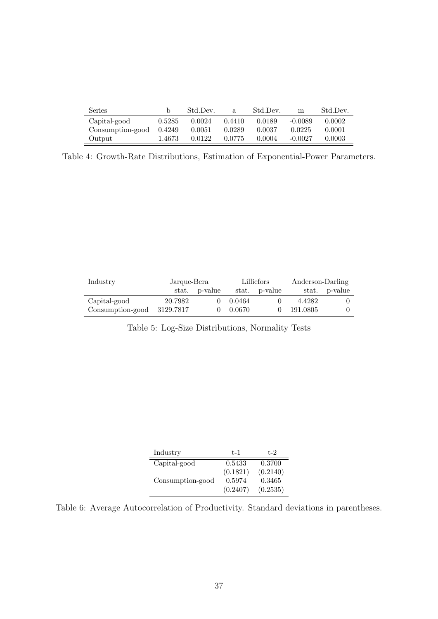| <b>Series</b>    |        | Std Dev. | a.     | Std.Dev. | m         | Std.Dev. |
|------------------|--------|----------|--------|----------|-----------|----------|
| Capital-good     | 0.5285 | 0.0024   | 0.4410 | 0.0189   | $-0.0089$ | 0.0002   |
| Consumption-good | 0.4249 | 0.0051   | 0.0289 | 0.0037   | 0.0225    | 0.0001   |
| Output           | 1.4673 | 0.0122   | 0.0775 | 0.0004   | $-0.0027$ | 0.0003   |

Table 4: Growth-Rate Distributions, Estimation of Exponential-Power Parameters.

| Industry         | Jarque-Bera |               | Lilliefors |               | Anderson-Darling |               |
|------------------|-------------|---------------|------------|---------------|------------------|---------------|
|                  |             | stat. p-value |            | stat. p-value |                  | stat. p-value |
| Capital-good     | 20.7982     |               | - 0.0464   |               | 4.4282           |               |
| Consumption-good | 3129.7817   |               | 0.0670     |               | 191.0805         |               |

Table 5: Log-Size Distributions, Normality Tests

| Industry         | $t-1$    | $t - 2$  |
|------------------|----------|----------|
| Capital-good     | 0.5433   | 0.3700   |
|                  | (0.1821) | (0.2140) |
| Consumption-good | 0.5974   | 0.3465   |
|                  | (0.2407) | (0.2535) |

Table 6: Average Autocorrelation of Productivity. Standard deviations in parentheses.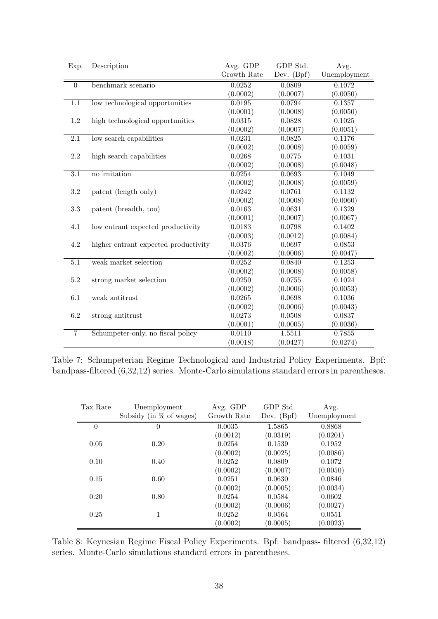| Exp.             | Description                          | Avg. GDP    | GDP Std.   | Avg.         |
|------------------|--------------------------------------|-------------|------------|--------------|
|                  |                                      | Growth Rate | Dev. (Bpf) | Unemployment |
| $\theta$         | benchmark scenario                   | 0.0252      | 0.0809     | 0.1072       |
|                  |                                      | (0.0002)    | (0.0007)   | (0.0050)     |
| $\overline{1.1}$ | low technological opportunities      | 0.0195      | 0.0794     | 0.1357       |
|                  |                                      | (0.0001)    | (0.0008)   | (0.0050)     |
| $1.2\,$          | high technological opportunities     | 0.0315      | 0.0828     | 0.1025       |
|                  |                                      | (0.0002)    | (0.0007)   | (0.0051)     |
| 2.1              | low search capabilities              | 0.0231      | 0.0825     | 0.1176       |
|                  |                                      | (0.0002)    | (0.0008)   | (0.0059)     |
| $2.2\,$          | high search capabilities             | 0.0268      | 0.0775     | 0.1031       |
|                  |                                      | (0.0002)    | (0.0008)   | (0.0048)     |
| $\overline{3.1}$ | no imitation                         | 0.0254      | 0.0693     | 0.1049       |
|                  |                                      | (0.0002)    | (0.0008)   | (0.0059)     |
| 3.2              | patent (length only)                 | 0.0242      | 0.0761     | 0.1132       |
|                  |                                      | (0.0002)    | (0.0008)   | (0.0060)     |
| $3.3\,$          | patent (breadth, too)                | 0.0163      | 0.0631     | 0.1329       |
|                  |                                      | (0.0001)    | (0.0007)   | (0.0067)     |
| 4.1              | low entrant expected productivity    | 0.0183      | 0.0798     | 0.1402       |
|                  |                                      | (0.0003)    | (0.0012)   | (0.0084)     |
| 4.2              | higher entrant expected productivity | 0.0376      | 0.0697     | 0.0853       |
|                  |                                      | (0.0002)    | (0.0006)   | (0.0047)     |
| $\overline{5.1}$ | weak market selection                | 0.0252      | 0.0840     | 0.1253       |
|                  |                                      | (0.0002)    | (0.0008)   | (0.0058)     |
| 5.2              | strong market selection              | 0.0250      | 0.0755     | 0.1024       |
|                  |                                      | (0.0002)    | (0.0006)   | (0.0053)     |
| 6.1              | weak antitrust                       | 0.0265      | 0.0698     | 0.1036       |
|                  |                                      | (0.0002)    | (0.0006)   | (0.0043)     |
| 6.2              | strong antitrust                     | 0.0273      | 0.0508     | 0.0837       |
|                  |                                      | (0.0001)    | (0.0005)   | (0.0036)     |
| $\overline{7}$   | Schumpeter-only, no fiscal policy    | 0.0110      | 1.5511     | 0.7855       |
|                  |                                      | (0.0018)    | (0.0427)   | (0.0274)     |

Table 7: Schumpeterian Regime Technological and Industrial Policy Experiments. Bpf: bandpass-filtered (6,32,12) series. Monte-Carlo simulations standard errors in parentheses.

| Tax Rate | Unemployment              | Avg. GDP    | GDP Std.     | Avg.         |
|----------|---------------------------|-------------|--------------|--------------|
|          | Subsidy (in $%$ of wages) | Growth Rate | Dev. $(Bpf)$ | Unemployment |
| $\Omega$ | $\overline{0}$            | 0.0035      | 1.5865       | 0.8868       |
|          |                           | (0.0012)    | (0.0319)     | (0.0201)     |
| 0.05     | 0.20                      | 0.0254      | 0.1539       | 0.1952       |
|          |                           | (0.0002)    | (0.0025)     | (0.0086)     |
| 0.10     | 0.40                      | 0.0252      | 0.0809       | 0.1072       |
|          |                           | (0.0002)    | (0.0007)     | (0.0050)     |
| 0.15     | 0.60                      | 0.0251      | 0.0630       | 0.0846       |
|          |                           | (0.0002)    | (0.0005)     | (0.0034)     |
| 0.20     | 0.80                      | 0.0254      | 0.0584       | 0.0602       |
|          |                           | (0.0002)    | (0.0006)     | (0.0027)     |
| 0.25     | 1                         | 0.0252      | 0.0564       | 0.0551       |
|          |                           | (0.0002)    | (0.0005)     | (0.0023)     |

Table 8: Keynesian Regime Fiscal Policy Experiments. Bpf: bandpass- filtered (6,32,12) series. Monte-Carlo simulations standard errors in parentheses.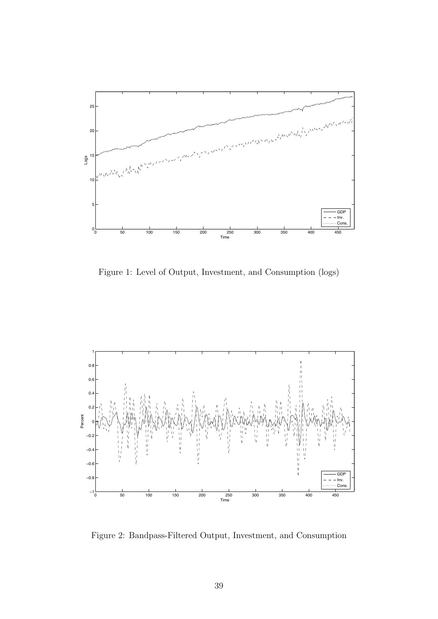

Figure 1: Level of Output, Investment, and Consumption (logs)



Figure 2: Bandpass-Filtered Output, Investment, and Consumption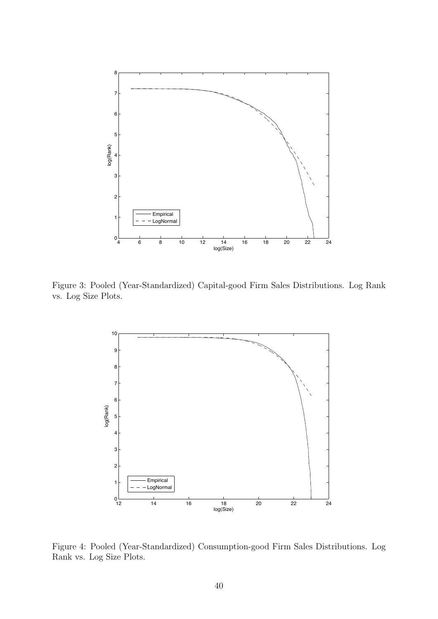

Figure 3: Pooled (Year-Standardized) Capital-good Firm Sales Distributions. Log Rank vs. Log Size Plots.



Figure 4: Pooled (Year-Standardized) Consumption-good Firm Sales Distributions. Log Rank vs. Log Size Plots.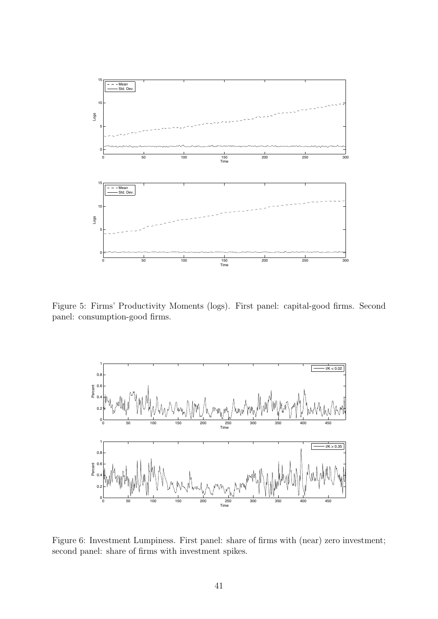

Figure 5: Firms' Productivity Moments (logs). First panel: capital-good firms. Second panel: consumption-good firms.



Figure 6: Investment Lumpiness. First panel: share of firms with (near) zero investment; second panel: share of firms with investment spikes.